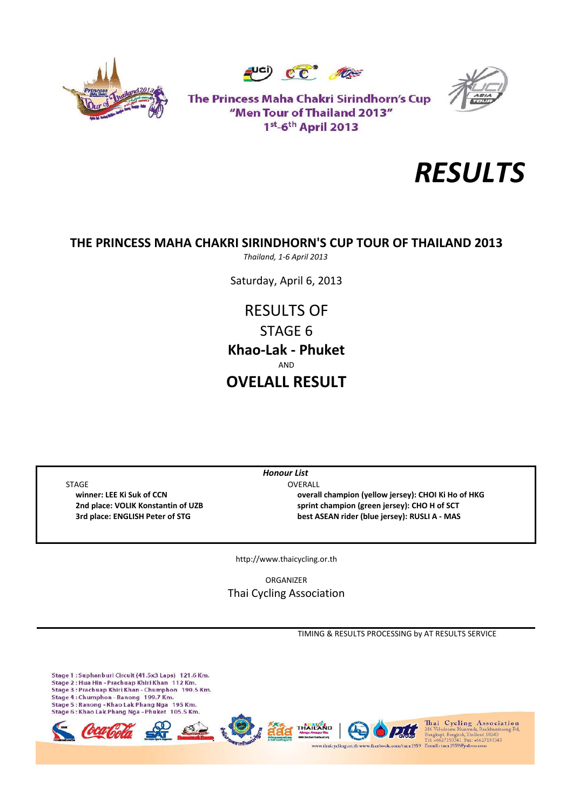





The Princess Maha Chakri Sirindhorn's Cup "Men Tour of Thailand 2013" 1st<sub>-6th</sub> April 2013



# **THE PRINCESS MAHA CHAKRI SIRINDHORN'S CUP TOUR OF THAILAND 2013**

*Thailand, 1‐6 April 2013*

Saturday, April 6, 2013

RESULTS OF STAGE 6 **Khao‐Lak ‐ Phuket** AND **OVELALL RESULT**

STAGE OVERALL

*Honour List*

 **winner: LEE Ki Suk of CCN overall champion (yellow jersey): CHOI Ki Ho of HKG 2nd place: VOLIK Konstantin of UZB sprint champion (green jersey): CHO H of SCT 3rd place: ENGLISH Peter of STG best ASEAN rider (blue jersey): RUSLI A ‐ MAS**

http://www.thaicycling.or.th

ORGANIZER Thai Cycling Association

TIMING & RESULTS PROCESSING by AT RESULTS SERVICE

Stage 1 : Suphanburi Circuit (41.5x3 Laps) 121.6 Km.<br>Stage 2 : Hua Hin - Prachuap Khiri Khan 112 Km. Stage 3 : Prachuap Khiri Khan - Chumphon 190.5 Km. Stage 4: Chumphon - Ranong 199.7 Km. Stage 4 : Chumphon - Kanong - 199.7 Km.<br>Stage 5 : Ranong - Khao Lak Phang Nga - 195 Km.<br>Stage 6 : Khao Lak Phang Nga - Phuket - 105.5 Km. Thai Cycling Association<br>286 Velodrome Huemark, Rankhamhaeng Rd,<br>Bangkapi, Bangkok, Thailand 10240<br>Tel: +6627193341 Fax: +6627193343 thaicycling.or.th www.facebe aca 1959 Email: taca 1959@yah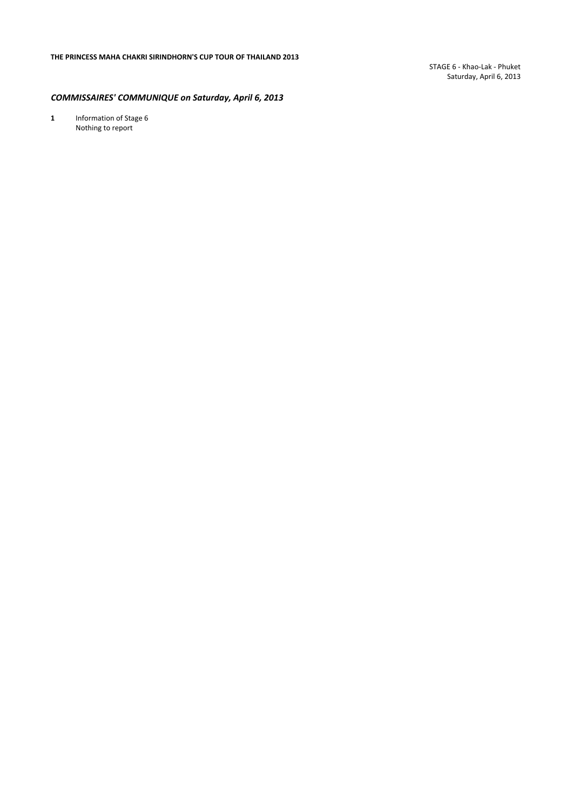STAGE 6 ‐ Khao‐Lak ‐ Phuket Saturday, April 6, 2013

#### *COMMISSAIRES' COMMUNIQUE on Saturday, April 6, 2013*

1 Information of Stage 6 Nothing to report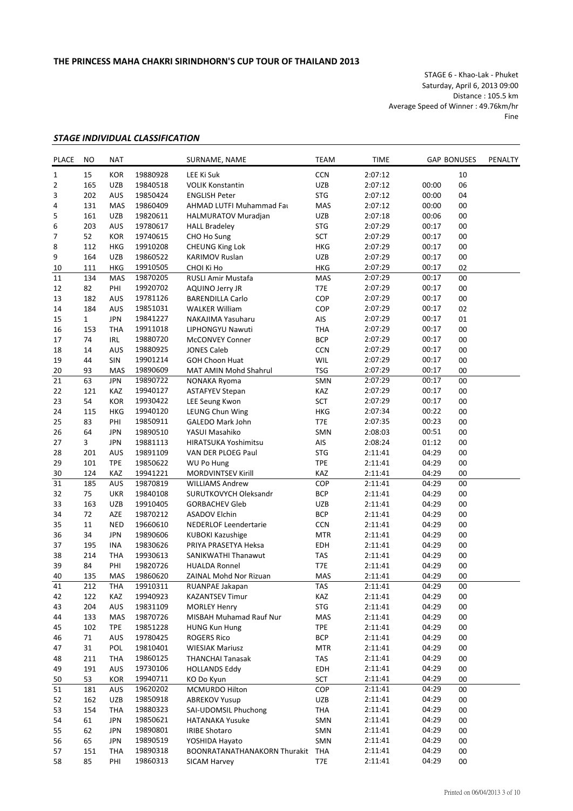STAGE 6 ‐ Khao‐Lak ‐ Phuket Saturday, April 6, 2013 09:00 Distance : 105.5 km Average Speed of Winner : 49.76km/hr Fine

## *STAGE INDIVIDUAL CLASSIFICATION*

| PLACE | NO             | <b>NAT</b> |          | SURNAME, NAME                | <b>TEAM</b> | <b>TIME</b> |       | <b>GAP BONUSES</b> |  |
|-------|----------------|------------|----------|------------------------------|-------------|-------------|-------|--------------------|--|
| 1     | 15             | <b>KOR</b> | 19880928 | LEE Ki Suk                   | CCN         | 2:07:12     |       | 10                 |  |
| 2     | 165            | <b>UZB</b> | 19840518 | <b>VOLIK Konstantin</b>      | UZB         | 2:07:12     | 00:00 | 06                 |  |
| 3     | 202            | AUS        | 19850424 | <b>ENGLISH Peter</b>         | <b>STG</b>  | 2:07:12     | 00:00 | 04                 |  |
| 4     | 131            | <b>MAS</b> | 19860409 | AHMAD LUTFI Muhammad Fat     | MAS         | 2:07:12     | 00:00 | 00                 |  |
| 5     | 161            | <b>UZB</b> | 19820611 | <b>HALMURATOV Muradjan</b>   | <b>UZB</b>  | 2:07:18     | 00:06 | 00                 |  |
| 6     | 203            | AUS        | 19780617 | <b>HALL Bradeley</b>         | <b>STG</b>  | 2:07:29     | 00:17 | 00                 |  |
| 7     | 52             | <b>KOR</b> | 19740615 | CHO Ho Sung                  | <b>SCT</b>  | 2:07:29     | 00:17 | 00                 |  |
| 8     | 112            | <b>HKG</b> | 19910208 | CHEUNG King Lok              | <b>HKG</b>  | 2:07:29     | 00:17 | 00                 |  |
| 9     | 164            | <b>UZB</b> | 19860522 | <b>KARIMOV Ruslan</b>        | UZB         | 2:07:29     | 00:17 | 00                 |  |
| 10    | 111            | <b>HKG</b> | 19910505 | CHOI Ki Ho                   | <b>HKG</b>  | 2:07:29     | 00:17 | 02                 |  |
| 11    | 134            | MAS        | 19870205 | RUSLI Amir Mustafa           | MAS         | 2:07:29     | 00:17 | 00                 |  |
| 12    | 82             | PHI        | 19920702 | AQUINO Jerry JR              | T7E         | 2:07:29     | 00:17 | 00                 |  |
| 13    | 182            | <b>AUS</b> |          | <b>BARENDILLA Carlo</b>      | COP         | 2:07:29     | 00:17 | 00                 |  |
|       |                |            | 19781126 |                              |             |             |       |                    |  |
| 14    | 184            | AUS        | 19851031 | <b>WALKER William</b>        | COP         | 2:07:29     | 00:17 | 02                 |  |
| 15    | $\mathbf{1}$   | <b>JPN</b> | 19841227 | NAKAJIMA Yasuharu            | AIS         | 2:07:29     | 00:17 | 01                 |  |
| 16    | 153            | <b>THA</b> | 19911018 | LIPHONGYU Nawuti             | <b>THA</b>  | 2:07:29     | 00:17 | 00                 |  |
| 17    | 74             | <b>IRL</b> | 19880720 | <b>McCONVEY Conner</b>       | <b>BCP</b>  | 2:07:29     | 00:17 | 00                 |  |
| 18    | 14             | <b>AUS</b> | 19880925 | <b>JONES Caleb</b>           | <b>CCN</b>  | 2:07:29     | 00:17 | 00                 |  |
| 19    | 44             | <b>SIN</b> | 19901214 | <b>GOH Choon Huat</b>        | <b>WIL</b>  | 2:07:29     | 00:17 | 00                 |  |
| 20    | 93             | <b>MAS</b> | 19890609 | MAT AMIN Mohd Shahrul        | <b>TSG</b>  | 2:07:29     | 00:17 | 00                 |  |
| 21    | 63             | <b>JPN</b> | 19890722 | NONAKA Ryoma                 | SMN         | 2:07:29     | 00:17 | 00                 |  |
| 22    | 121            | KAZ        | 19940127 | <b>ASTAFYEV Stepan</b>       | KAZ         | 2:07:29     | 00:17 | 00                 |  |
| 23    | 54             | <b>KOR</b> | 19930422 | LEE Seung Kwon               | SCT         | 2:07:29     | 00:17 | 00                 |  |
| 24    | 115            | <b>HKG</b> | 19940120 | LEUNG Chun Wing              | HKG         | 2:07:34     | 00:22 | 00                 |  |
| 25    | 83             | PHI        | 19850911 | GALEDO Mark John             | T7E         | 2:07:35     | 00:23 | 00                 |  |
| 26    | 64             | <b>JPN</b> | 19890510 | YASUI Masahiko               | SMN         | 2:08:03     | 00:51 | 00                 |  |
| 27    | $\overline{3}$ | <b>JPN</b> | 19881113 | <b>HIRATSUKA Yoshimitsu</b>  | AIS         | 2:08:24     | 01:12 | 00                 |  |
| 28    | 201            | AUS        | 19891109 | VAN DER PLOEG Paul           | <b>STG</b>  | 2:11:41     | 04:29 | 00                 |  |
| 29    | 101            | <b>TPE</b> | 19850622 | <b>WU Po Hung</b>            | <b>TPE</b>  | 2:11:41     | 04:29 | 00                 |  |
| 30    | 124            | KAZ        | 19941221 | MORDVINTSEV Kirill           | KAZ         | 2:11:41     | 04:29 | 00                 |  |
| 31    | 185            | AUS        | 19870819 | <b>WILLIAMS Andrew</b>       | COP         | 2:11:41     | 04:29 | 00                 |  |
| 32    | 75             | <b>UKR</b> | 19840108 | SURUTKOVYCH Oleksandr        | <b>BCP</b>  | 2:11:41     | 04:29 | 00                 |  |
| 33    | 163            | <b>UZB</b> | 19910405 | <b>GORBACHEV Gleb</b>        | <b>UZB</b>  | 2:11:41     | 04:29 | 00                 |  |
| 34    | 72             | AZE        | 19870212 | <b>ASADOV Elchin</b>         | <b>BCP</b>  | 2:11:41     | 04:29 | 00                 |  |
| 35    | 11             | <b>NED</b> | 19660610 | <b>NEDERLOF Leendertarie</b> | <b>CCN</b>  | 2:11:41     | 04:29 | 00                 |  |
| 36    | 34             | <b>JPN</b> | 19890606 | <b>KUBOKI Kazushige</b>      | <b>MTR</b>  | 2:11:41     | 04:29 | 00                 |  |
| 37    | 195            | <b>INA</b> | 19830626 | PRIYA PRASETYA Heksa         | EDH         | 2:11:41     | 04:29 | 00                 |  |
|       |                |            |          |                              |             |             |       |                    |  |
| 38    | 214            | <b>THA</b> | 19930613 | <b>SANIKWATHI Thanawut</b>   | <b>TAS</b>  | 2:11:41     | 04:29 | 00                 |  |
| 39    | 84             | PHI        | 19820726 | <b>HUALDA Ronnel</b>         | T7E         | 2:11:41     | 04:29 | 00                 |  |
| 40    | 135            | <b>MAS</b> | 19860620 | ZAINAL Mohd Nor Rizuan       | <b>MAS</b>  | 2:11:41     | 04:29 | 00                 |  |
| 41    | 212            | <b>THA</b> | 19910311 | RUANPAE Jakapan              | TAS         | 2:11:41     | 04:29 | 00                 |  |
| 42    | 122            | KAZ        | 19940923 | <b>KAZANTSEV Timur</b>       | KAZ         | 2:11:41     | 04:29 | 00                 |  |
| 43    | 204            | AUS        | 19831109 | <b>MORLEY Henry</b>          | <b>STG</b>  | 2:11:41     | 04:29 | 00                 |  |
| 44    | 133            | MAS        | 19870726 | MISBAH Muhamad Rauf Nur      | MAS         | 2:11:41     | 04:29 | 00                 |  |
| 45    | 102            | <b>TPE</b> | 19851228 | <b>HUNG Kun Hung</b>         | <b>TPE</b>  | 2:11:41     | 04:29 | 00                 |  |
| 46    | 71             | AUS        | 19780425 | <b>ROGERS Rico</b>           | <b>BCP</b>  | 2:11:41     | 04:29 | 00                 |  |
| 47    | 31             | POL        | 19810401 | <b>WIESIAK Mariusz</b>       | <b>MTR</b>  | 2:11:41     | 04:29 | 00                 |  |
| 48    | 211            | <b>THA</b> | 19860125 | <b>THANCHAI Tanasak</b>      | TAS         | 2:11:41     | 04:29 | 00                 |  |
| 49    | 191            | AUS        | 19730106 | <b>HOLLANDS Eddy</b>         | EDH         | 2:11:41     | 04:29 | 00                 |  |
| 50    | 53             | <b>KOR</b> | 19940711 | KO Do Kyun                   | SCT         | 2:11:41     | 04:29 | 00                 |  |
| 51    | 181            | AUS        | 19620202 | MCMURDO Hilton               | COP         | 2:11:41     | 04:29 | 00                 |  |
| 52    | 162            | UZB        | 19850918 | <b>ABREKOV Yusup</b>         | UZB         | 2:11:41     | 04:29 | 00                 |  |
| 53    | 154            | <b>THA</b> | 19880323 | SAI-UDOMSIL Phuchong         | THA         | 2:11:41     | 04:29 | 00                 |  |
| 54    | 61             | <b>JPN</b> | 19850621 | <b>HATANAKA Yusuke</b>       | SMN         | 2:11:41     | 04:29 | 00                 |  |
| 55    | 62             | <b>JPN</b> | 19890801 | <b>IRIBE Shotaro</b>         | SMN         | 2:11:41     | 04:29 | 00                 |  |
| 56    | 65             | JPN        | 19890519 | YOSHIDA Hayato               | SMN         | 2:11:41     | 04:29 | 00                 |  |
| 57    | 151            | <b>THA</b> | 19890318 | BOONRATANATHANAKORN Thurakit | THA         | 2:11:41     | 04:29 | 00                 |  |
| 58    | 85             | PHI        | 19860313 | <b>SICAM Harvey</b>          | T7E         | 2:11:41     | 04:29 | 00                 |  |
|       |                |            |          |                              |             |             |       |                    |  |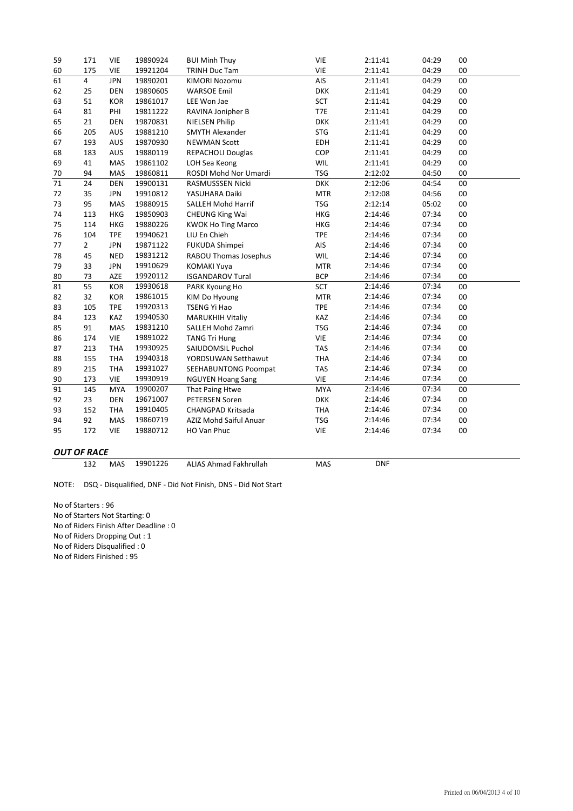| 59 | 171            | <b>VIE</b> | 19890924 | <b>BUI Minh Thuy</b>      | <b>VIE</b> | 2:11:41 | 04:29 | 00 |
|----|----------------|------------|----------|---------------------------|------------|---------|-------|----|
| 60 | 175            | <b>VIE</b> | 19921204 | TRINH Duc Tam             | <b>VIE</b> | 2:11:41 | 04:29 | 00 |
| 61 | $\overline{4}$ | <b>JPN</b> | 19890201 | <b>KIMORI Nozomu</b>      | AIS        | 2:11:41 | 04:29 | 00 |
| 62 | 25             | <b>DEN</b> | 19890605 | <b>WARSOE Emil</b>        | <b>DKK</b> | 2:11:41 | 04:29 | 00 |
| 63 | 51             | <b>KOR</b> | 19861017 | LEE Won Jae               | SCT        | 2:11:41 | 04:29 | 00 |
| 64 | 81             | PHI        | 19811222 | RAVINA Jonipher B         | T7E        | 2:11:41 | 04:29 | 00 |
| 65 | 21             | <b>DEN</b> | 19870831 | <b>NIELSEN Philip</b>     | <b>DKK</b> | 2:11:41 | 04:29 | 00 |
| 66 | 205            | <b>AUS</b> | 19881210 | <b>SMYTH Alexander</b>    | <b>STG</b> | 2:11:41 | 04:29 | 00 |
| 67 | 193            | <b>AUS</b> | 19870930 | <b>NEWMAN Scott</b>       | <b>EDH</b> | 2:11:41 | 04:29 | 00 |
| 68 | 183            | <b>AUS</b> | 19880119 | <b>REPACHOLI Douglas</b>  | <b>COP</b> | 2:11:41 | 04:29 | 00 |
| 69 | 41             | MAS        | 19861102 | LOH Sea Keong             | <b>WIL</b> | 2:11:41 | 04:29 | 00 |
| 70 | 94             | <b>MAS</b> | 19860811 | ROSDI Mohd Nor Umardi     | <b>TSG</b> | 2:12:02 | 04:50 | 00 |
| 71 | 24             | <b>DEN</b> | 19900131 | RASMUSSSEN Nicki          | <b>DKK</b> | 2:12:06 | 04:54 | 00 |
| 72 | 35             | <b>JPN</b> | 19910812 | YASUHARA Daiki            | <b>MTR</b> | 2:12:08 | 04:56 | 00 |
| 73 | 95             | MAS        | 19880915 | SALLEH Mohd Harrif        | <b>TSG</b> | 2:12:14 | 05:02 | 00 |
| 74 | 113            | <b>HKG</b> | 19850903 | <b>CHEUNG King Wai</b>    | <b>HKG</b> | 2:14:46 | 07:34 | 00 |
| 75 | 114            | <b>HKG</b> | 19880226 | <b>KWOK Ho Ting Marco</b> | HKG        | 2:14:46 | 07:34 | 00 |
| 76 | 104            | <b>TPE</b> | 19940621 | LIU En Chieh              | <b>TPE</b> | 2:14:46 | 07:34 | 00 |
| 77 | $\overline{2}$ | <b>JPN</b> | 19871122 | FUKUDA Shimpei            | AIS        | 2:14:46 | 07:34 | 00 |
| 78 | 45             | <b>NED</b> | 19831212 | RABOU Thomas Josephus     | WIL        | 2:14:46 | 07:34 | 00 |
| 79 | 33             | <b>JPN</b> | 19910629 | <b>KOMAKI Yuya</b>        | <b>MTR</b> | 2:14:46 | 07:34 | 00 |
| 80 | 73             | AZE        | 19920112 | <b>ISGANDAROV Tural</b>   | <b>BCP</b> | 2:14:46 | 07:34 | 00 |
| 81 | 55             | KOR        | 19930618 | PARK Kyoung Ho            | <b>SCT</b> | 2:14:46 | 07:34 | 00 |
| 82 | 32             | <b>KOR</b> | 19861015 | KIM Do Hyoung             | <b>MTR</b> | 2:14:46 | 07:34 | 00 |
| 83 | 105            | <b>TPE</b> | 19920313 | <b>TSENG Yi Hao</b>       | <b>TPE</b> | 2:14:46 | 07:34 | 00 |
| 84 | 123            | KAZ        | 19940530 | <b>MARUKHIH Vitaliy</b>   | KAZ        | 2:14:46 | 07:34 | 00 |
| 85 | 91             | MAS        | 19831210 | SALLEH Mohd Zamri         | <b>TSG</b> | 2:14:46 | 07:34 | 00 |
| 86 | 174            | <b>VIE</b> | 19891022 | <b>TANG Tri Hung</b>      | <b>VIE</b> | 2:14:46 | 07:34 | 00 |
| 87 | 213            | <b>THA</b> | 19930925 | SAIUDOMSIL Puchol         | <b>TAS</b> | 2:14:46 | 07:34 | 00 |
| 88 | 155            | <b>THA</b> | 19940318 | YORDSUWAN Setthawut       | <b>THA</b> | 2:14:46 | 07:34 | 00 |
| 89 | 215            | <b>THA</b> | 19931027 | SEEHABUNTONG Poompat      | <b>TAS</b> | 2:14:46 | 07:34 | 00 |
| 90 | 173            | <b>VIE</b> | 19930919 | <b>NGUYEN Hoang Sang</b>  | <b>VIE</b> | 2:14:46 | 07:34 | 00 |
| 91 | 145            | <b>MYA</b> | 19900207 | That Paing Htwe           | <b>MYA</b> | 2:14:46 | 07:34 | 00 |
| 92 | 23             | <b>DEN</b> | 19671007 | PETERSEN Soren            | <b>DKK</b> | 2:14:46 | 07:34 | 00 |
| 93 | 152            | <b>THA</b> | 19910405 | CHANGPAD Kritsada         | THA        | 2:14:46 | 07:34 | 00 |
| 94 | 92             | MAS        | 19860719 | AZIZ Mohd Saiful Anuar    | <b>TSG</b> | 2:14:46 | 07:34 | 00 |
| 95 | 172            | <b>VIE</b> | 19880712 | HO Van Phuc               | <b>VIE</b> | 2:14:46 | 07:34 | 00 |
|    |                |            |          |                           |            |         |       |    |

# *OUT OF RACE*

132 MAS ALIAS Ahmad Fakhrullah MAS MAS 19901226

DNF

NOTE: DSQ ‐ Disqualified, DNF ‐ Did Not Finish, DNS ‐ Did Not Start

No of Starters : 96 No of Starters Not Starting: 0 No of Riders Finish After Deadline : 0 No of Riders Dropping Out : 1 No of Riders Disqualified : 0 No of Riders Finished : 95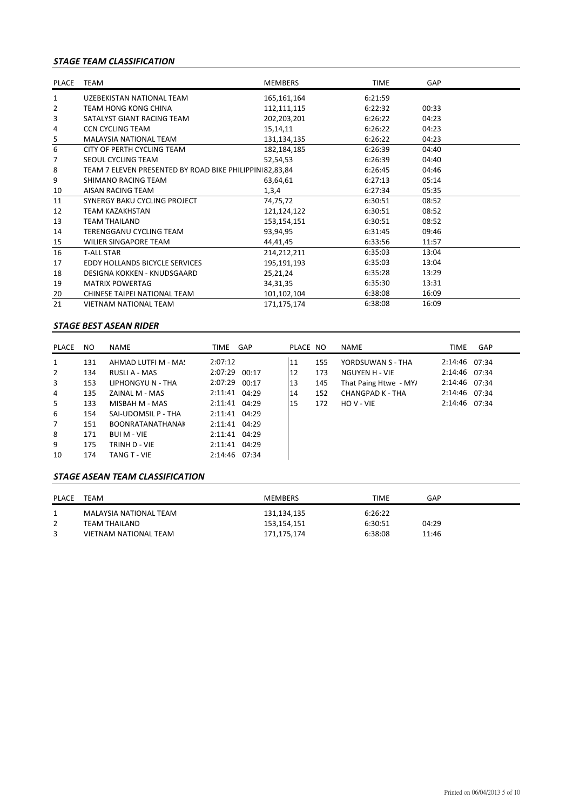## *STAGE TEAM CLASSIFICATION*

| <b>PLACE</b>             | <b>TEAM</b>                                             | <b>MEMBERS</b> | <b>TIME</b> | GAP   |  |
|--------------------------|---------------------------------------------------------|----------------|-------------|-------|--|
| 1                        | <b>UZEBEKISTAN NATIONAL TEAM</b>                        | 165,161,164    | 6:21:59     |       |  |
| 2                        | <b>TEAM HONG KONG CHINA</b>                             | 112,111,115    | 6:22:32     | 00:33 |  |
| 3                        | SATALYST GIANT RACING TEAM                              | 202,203,201    | 6:26:22     | 04:23 |  |
| 4                        | <b>CCN CYCLING TEAM</b>                                 | 15,14,11       | 6:26:22     | 04:23 |  |
| $\overline{\phantom{1}}$ | <b>MALAYSIA NATIONAL TEAM</b>                           | 131,134,135    | 6:26:22     | 04:23 |  |
| 6                        | CITY OF PERTH CYCLING TEAM                              | 182,184,185    | 6:26:39     | 04:40 |  |
| 7                        | SEOUL CYCLING TEAM                                      | 52,54,53       | 6:26:39     | 04:40 |  |
| 8                        | TEAM 7 ELEVEN PRESENTED BY ROAD BIKE PHILIPPIN 82,83,84 |                | 6:26:45     | 04:46 |  |
| 9                        | SHIMANO RACING TEAM                                     | 63,64,61       | 6:27:13     | 05:14 |  |
| 10                       | AISAN RACING TEAM                                       | 1,3,4          | 6:27:34     | 05:35 |  |
| 11                       | SYNERGY BAKU CYCLING PROJECT                            | 74,75,72       | 6:30:51     | 08:52 |  |
| 12                       | <b>TEAM KAZAKHSTAN</b>                                  | 121,124,122    | 6:30:51     | 08:52 |  |
| 13                       | <b>TEAM THAILAND</b>                                    | 153,154,151    | 6:30:51     | 08:52 |  |
| 14                       | TERENGGANU CYCLING TEAM                                 | 93,94,95       | 6:31:45     | 09:46 |  |
| 15                       | <b>WILIER SINGAPORE TEAM</b>                            | 44,41,45       | 6:33:56     | 11:57 |  |
| 16                       | <b>T-ALL STAR</b>                                       | 214,212,211    | 6:35:03     | 13:04 |  |
| 17                       | EDDY HOLLANDS BICYCLE SERVICES                          | 195,191,193    | 6:35:03     | 13:04 |  |
| 18                       | DESIGNA KOKKEN - KNUDSGAARD                             | 25,21,24       | 6:35:28     | 13:29 |  |
| 19                       | <b>MATRIX POWERTAG</b>                                  | 34, 31, 35     | 6:35:30     | 13:31 |  |
| 20                       | CHINESE TAIPEI NATIONAL TEAM                            | 101,102,104    | 6:38:08     | 16:09 |  |
| 21                       | <b>VIETNAM NATIONAL TEAM</b>                            | 171,175,174    | 6:38:08     | 16:09 |  |

#### *STAGE BEST ASEAN RIDER*

| PLACE       | NO. | <b>NAME</b>             | TIME          | GAP | PLACE NO |     | <b>NAME</b>           | <b>TIME</b>   | GAP |
|-------------|-----|-------------------------|---------------|-----|----------|-----|-----------------------|---------------|-----|
| 1           | 131 | AHMAD LUTFI M - MA!     | 2:07:12       |     | 11       | 155 | YORDSUWAN S - THA     | 2:14:46 07:34 |     |
| 2           | 134 | RUSLI A - MAS           | 2:07:29 00:17 |     | 12       | 173 | NGUYEN H - VIE        | 2:14:46 07:34 |     |
| 3           | 153 | LIPHONGYU N - THA       | 2:07:29 00:17 |     | 13       | 145 | That Paing Htwe - MY/ | 2:14:46 07:34 |     |
| 4           | 135 | ZAINAL M - MAS          | 2:11:41 04:29 |     | 14       | 152 | CHANGPAD K - THA      | 2:14:46 07:34 |     |
| 5           | 133 | MISBAH M - MAS          | 2:11:41 04:29 |     | 15       | 172 | HOV-VIE               | 2:14:46 07:34 |     |
| 6           | 154 | SAI-UDOMSIL P - THA     | 2:11:41 04:29 |     |          |     |                       |               |     |
| $7^{\circ}$ | 151 | <b>BOONRATANATHANAK</b> | 2:11:41 04:29 |     |          |     |                       |               |     |
| 8           | 171 | <b>BUI M - VIE</b>      | 2:11:41 04:29 |     |          |     |                       |               |     |
| 9           | 175 | TRINH D - VIE           | 2:11:41 04:29 |     |          |     |                       |               |     |
| 10          | 174 | TANG T - VIE            | 2:14:46 07:34 |     |          |     |                       |               |     |

#### *STAGE ASEAN TEAM CLASSIFICATION*

| PLACE | TEAM                   | MEMBERS     | TIME    | GAP   |
|-------|------------------------|-------------|---------|-------|
|       | MALAYSIA NATIONAL TEAM | 131,134,135 | 6:26:22 |       |
|       | TEAM THAILAND          | 153,154,151 | 6:30:51 | 04:29 |
|       | VIETNAM NATIONAL TEAM  | 171,175,174 | 6:38:08 | 11:46 |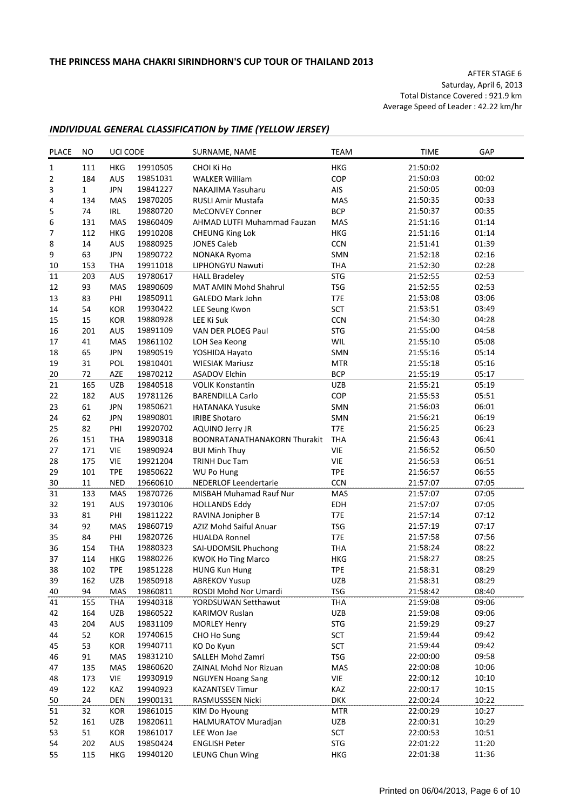AFTER STAGE 6 Saturday, April 6, 2013 Total Distance Covered : 921.9 km Average Speed of Leader : 42.22 km/hr

#### *INDIVIDUAL GENERAL CLASSIFICATION by TIME (YELLOW JERSEY)*

| 19910505<br>21:50:02<br>$\mathbf{1}$<br>111<br><b>HKG</b><br>CHOI Ki Ho<br><b>HKG</b><br>COP<br>00:02<br>$\overline{2}$<br>184<br>AUS<br>19851031<br><b>WALKER William</b><br>21:50:03<br>AIS<br>3<br>1<br><b>JPN</b><br>19841227<br>00:03<br>NAKAJIMA Yasuharu<br>21:50:05<br>134<br><b>MAS</b><br>19870205<br>MAS<br>21:50:35<br>00:33<br>4<br>RUSLI Amir Mustafa<br><b>BCP</b><br>5<br>74<br>IRL<br>19880720<br><b>McCONVEY Conner</b><br>21:50:37<br>00:35<br>19860409<br>21:51:16<br>01:14<br>6<br>131<br>MAS<br>AHMAD LUTFI Muhammad Fauzan<br>MAS<br>7<br><b>HKG</b><br>01:14<br>112<br><b>HKG</b><br>19910208<br>21:51:16<br><b>CHEUNG King Lok</b><br>8<br>19880925<br>CCN<br>21:51:41<br>01:39<br>14<br>AUS<br><b>JONES Caleb</b><br>63<br>02:16<br>9<br><b>JPN</b><br>19890722<br>NONAKA Ryoma<br>SMN<br>21:52:18<br>21:52:30<br>02:28<br>19911018<br><b>THA</b><br>10<br>153<br>THA<br>LIPHONGYU Nawuti<br>19780617<br><b>STG</b><br>21:52:55<br>02:53<br>11<br>203<br>AUS<br><b>HALL Bradeley</b><br>19890609<br><b>TSG</b><br>21:52:55<br>02:53<br>12<br>93<br><b>MAS</b><br>MAT AMIN Mohd Shahrul<br>13<br>83<br>PHI<br>19850911<br><b>GALEDO Mark John</b><br>T7E<br>21:53:08<br>03:06<br>SCT<br>14<br>54<br>KOR<br>21:53:51<br>03:49<br>19930422<br>LEE Seung Kwon<br>15<br>CCN<br>15<br>KOR<br>19880928<br>21:54:30<br>04:28<br>LEE Ki Suk<br><b>STG</b><br>16<br>201<br>AUS<br>19891109<br>VAN DER PLOEG Paul<br>21:55:00<br>04:58<br>MAS<br>19861102<br>WIL<br>21:55:10<br>05:08<br>17<br>41<br>LOH Sea Keong<br>21:55:16<br>05:14<br>18<br>65<br><b>JPN</b><br>19890519<br>YOSHIDA Hayato<br>SMN<br>POL<br>19810401<br>21:55:18<br>05:16<br>19<br>31<br><b>WIESIAK Mariusz</b><br><b>MTR</b><br>19870212<br><b>BCP</b><br>21:55:19<br>05:17<br>20<br>72<br>AZE<br><b>ASADOV Elchin</b><br>21<br><b>UZB</b><br>21:55:21<br>05:19<br>165<br>UZB<br>19840518<br><b>VOLIK Konstantin</b><br>22<br>COP<br>05:51<br>AUS<br>19781126<br>21:55:53<br>182<br><b>BARENDILLA Carlo</b><br>23<br>21:56:03<br>06:01<br>61<br><b>JPN</b><br>19850621<br><b>HATANAKA Yusuke</b><br>SMN<br>24<br>62<br><b>JPN</b><br>SMN<br>06:19<br>19890801<br><b>IRIBE Shotaro</b><br>21:56:21<br>25<br>82<br>T7E<br>PHI<br>19920702<br>06:23<br><b>AQUINO Jerry JR</b><br>21:56:25<br>26<br><b>BOONRATANATHANAKORN Thurakit</b><br><b>THA</b><br>06:41<br>151<br>THA<br>19890318<br>21:56:43<br><b>VIE</b><br>27<br>VIE<br>19890924<br>06:50<br>171<br><b>BUI Minh Thuy</b><br>21:56:52<br>28<br>175<br><b>VIE</b><br><b>VIE</b><br>19921204<br><b>TRINH Duc Tam</b><br>21:56:53<br>06:51<br>29<br>19850622<br><b>TPE</b><br>21:56:57<br>06:55<br>101<br><b>TPE</b><br>WU Po Hung<br><b>CCN</b><br>07:05<br>30<br>11<br><b>NED</b><br>19660610<br>NEDERLOF Leendertarie<br>21:57:07<br>19870726<br>07:05<br>31<br>133<br>MAS<br>21:57:07<br><b>MAS</b><br>MISBAH Muhamad Rauf Nur<br>32<br>191<br>AUS<br>19730106<br><b>HOLLANDS Eddy</b><br>EDH<br>21:57:07<br>07:05<br>PHI<br>19811222<br>T7E<br>21:57:14<br>07:12<br>33<br>81<br>RAVINA Jonipher B<br>19860719<br>07:17<br>34<br>92<br>MAS<br>AZIZ Mohd Saiful Anuar<br><b>TSG</b><br>21:57:19<br>19820726<br>T7E<br>21:57:58<br>07:56<br>35<br>84<br>PHI<br><b>HUALDA Ronnel</b><br>36<br><b>THA</b><br>19880323<br>SAI-UDOMSIL Phuchong<br><b>THA</b><br>21:58:24<br>08:22<br>154<br>37<br>08:25<br>114<br>HKG<br>19880226<br><b>KWOK Ho Ting Marco</b><br><b>HKG</b><br>21:58:27<br>38<br>102<br><b>TPE</b><br><b>TPE</b><br>08:29<br>19851228<br>21:58:31<br><b>HUNG Kun Hung</b><br>UZB<br>21:58:31<br>08:29<br>39<br>162<br>UZB<br>19850918<br><b>ABREKOV Yusup</b><br>19860811<br><b>TSG</b><br>21:58:42<br>08:40<br>40<br>94<br>MAS<br>ROSDI Mohd Nor Umardi<br><b>THA</b><br>09:06<br>THA<br>19940318<br>21:59:08<br>41<br>155<br>YORDSUWAN Setthawut<br>19860522<br>09:06<br>42<br>164<br>UZB<br>UZB<br>21:59:08<br><b>KARIMOV Ruslan</b><br><b>STG</b><br>09:27<br>19831109<br>21:59:29<br>43<br>204<br><b>AUS</b><br><b>MORLEY Henry</b><br>09:42<br>52<br>KOR<br>19740615<br>CHO Ho Sung<br>SCT<br>21:59:44<br>44<br>09:42<br>45<br>53<br>KOR<br>19940711<br>KO Do Kyun<br>SCT<br>21:59:44<br>09:58<br>91<br>MAS<br>19831210<br>SALLEH Mohd Zamri<br>TSG<br>22:00:00<br>46<br>47<br>135<br>MAS<br>19860620<br>ZAINAL Mohd Nor Rizuan<br>MAS<br>22:00:08<br>10:06<br>173<br>VIE<br>VIE<br>48<br>19930919<br><b>NGUYEN Hoang Sang</b><br>22:00:12<br>10:10<br>122<br>KAZ<br>KAZ<br>49<br>19940923<br><b>KAZANTSEV Timur</b><br>22:00:17<br>10:15<br>24<br>DEN<br>RASMUSSSEN Nicki<br><b>DKK</b><br>50<br>19900131<br>22:00:24<br>10:22<br>32<br>19861015<br>22:00:29<br>10:27<br>51<br>KOR<br>KIM Do Hyoung<br><b>MTR</b><br>10:29<br>52<br>19820611<br>UZB<br>22:00:31<br>161<br>UZB<br><b>HALMURATOV Muradjan</b><br>53<br>51<br>KOR<br>19861017<br>SCT<br>22:00:53<br>10:51<br>LEE Won Jae<br>11:20<br>19850424<br><b>STG</b><br>22:01:22<br>54<br>202<br>AUS<br><b>ENGLISH Peter</b> | <b>PLACE</b> | NO. | UCI CODE |          | SURNAME, NAME   | <b>TEAM</b> | <b>TIME</b> | GAP   |
|-------------------------------------------------------------------------------------------------------------------------------------------------------------------------------------------------------------------------------------------------------------------------------------------------------------------------------------------------------------------------------------------------------------------------------------------------------------------------------------------------------------------------------------------------------------------------------------------------------------------------------------------------------------------------------------------------------------------------------------------------------------------------------------------------------------------------------------------------------------------------------------------------------------------------------------------------------------------------------------------------------------------------------------------------------------------------------------------------------------------------------------------------------------------------------------------------------------------------------------------------------------------------------------------------------------------------------------------------------------------------------------------------------------------------------------------------------------------------------------------------------------------------------------------------------------------------------------------------------------------------------------------------------------------------------------------------------------------------------------------------------------------------------------------------------------------------------------------------------------------------------------------------------------------------------------------------------------------------------------------------------------------------------------------------------------------------------------------------------------------------------------------------------------------------------------------------------------------------------------------------------------------------------------------------------------------------------------------------------------------------------------------------------------------------------------------------------------------------------------------------------------------------------------------------------------------------------------------------------------------------------------------------------------------------------------------------------------------------------------------------------------------------------------------------------------------------------------------------------------------------------------------------------------------------------------------------------------------------------------------------------------------------------------------------------------------------------------------------------------------------------------------------------------------------------------------------------------------------------------------------------------------------------------------------------------------------------------------------------------------------------------------------------------------------------------------------------------------------------------------------------------------------------------------------------------------------------------------------------------------------------------------------------------------------------------------------------------------------------------------------------------------------------------------------------------------------------------------------------------------------------------------------------------------------------------------------------------------------------------------------------------------------------------------------------------------------------------------------------------------------------------------------------------------------------------------------------------------------------------------------------------------------------------------------------------------------------------------------------------------------------------------------------------------------------------------------------------------------------------------------------------------------------------------------------------------------------------------------------------------------------------------------------------------------------------------------------------------------------------------------------------------------------------------------------------------------------------------------------------------------------------------------------------------------------------------------|--------------|-----|----------|----------|-----------------|-------------|-------------|-------|
|                                                                                                                                                                                                                                                                                                                                                                                                                                                                                                                                                                                                                                                                                                                                                                                                                                                                                                                                                                                                                                                                                                                                                                                                                                                                                                                                                                                                                                                                                                                                                                                                                                                                                                                                                                                                                                                                                                                                                                                                                                                                                                                                                                                                                                                                                                                                                                                                                                                                                                                                                                                                                                                                                                                                                                                                                                                                                                                                                                                                                                                                                                                                                                                                                                                                                                                                                                                                                                                                                                                                                                                                                                                                                                                                                                                                                                                                                                                                                                                                                                                                                                                                                                                                                                                                                                                                                                                                                                                                                                                                                                                                                                                                                                                                                                                                                                                                                                                                                 |              |     |          |          |                 |             |             |       |
|                                                                                                                                                                                                                                                                                                                                                                                                                                                                                                                                                                                                                                                                                                                                                                                                                                                                                                                                                                                                                                                                                                                                                                                                                                                                                                                                                                                                                                                                                                                                                                                                                                                                                                                                                                                                                                                                                                                                                                                                                                                                                                                                                                                                                                                                                                                                                                                                                                                                                                                                                                                                                                                                                                                                                                                                                                                                                                                                                                                                                                                                                                                                                                                                                                                                                                                                                                                                                                                                                                                                                                                                                                                                                                                                                                                                                                                                                                                                                                                                                                                                                                                                                                                                                                                                                                                                                                                                                                                                                                                                                                                                                                                                                                                                                                                                                                                                                                                                                 |              |     |          |          |                 |             |             |       |
|                                                                                                                                                                                                                                                                                                                                                                                                                                                                                                                                                                                                                                                                                                                                                                                                                                                                                                                                                                                                                                                                                                                                                                                                                                                                                                                                                                                                                                                                                                                                                                                                                                                                                                                                                                                                                                                                                                                                                                                                                                                                                                                                                                                                                                                                                                                                                                                                                                                                                                                                                                                                                                                                                                                                                                                                                                                                                                                                                                                                                                                                                                                                                                                                                                                                                                                                                                                                                                                                                                                                                                                                                                                                                                                                                                                                                                                                                                                                                                                                                                                                                                                                                                                                                                                                                                                                                                                                                                                                                                                                                                                                                                                                                                                                                                                                                                                                                                                                                 |              |     |          |          |                 |             |             |       |
|                                                                                                                                                                                                                                                                                                                                                                                                                                                                                                                                                                                                                                                                                                                                                                                                                                                                                                                                                                                                                                                                                                                                                                                                                                                                                                                                                                                                                                                                                                                                                                                                                                                                                                                                                                                                                                                                                                                                                                                                                                                                                                                                                                                                                                                                                                                                                                                                                                                                                                                                                                                                                                                                                                                                                                                                                                                                                                                                                                                                                                                                                                                                                                                                                                                                                                                                                                                                                                                                                                                                                                                                                                                                                                                                                                                                                                                                                                                                                                                                                                                                                                                                                                                                                                                                                                                                                                                                                                                                                                                                                                                                                                                                                                                                                                                                                                                                                                                                                 |              |     |          |          |                 |             |             |       |
|                                                                                                                                                                                                                                                                                                                                                                                                                                                                                                                                                                                                                                                                                                                                                                                                                                                                                                                                                                                                                                                                                                                                                                                                                                                                                                                                                                                                                                                                                                                                                                                                                                                                                                                                                                                                                                                                                                                                                                                                                                                                                                                                                                                                                                                                                                                                                                                                                                                                                                                                                                                                                                                                                                                                                                                                                                                                                                                                                                                                                                                                                                                                                                                                                                                                                                                                                                                                                                                                                                                                                                                                                                                                                                                                                                                                                                                                                                                                                                                                                                                                                                                                                                                                                                                                                                                                                                                                                                                                                                                                                                                                                                                                                                                                                                                                                                                                                                                                                 |              |     |          |          |                 |             |             |       |
|                                                                                                                                                                                                                                                                                                                                                                                                                                                                                                                                                                                                                                                                                                                                                                                                                                                                                                                                                                                                                                                                                                                                                                                                                                                                                                                                                                                                                                                                                                                                                                                                                                                                                                                                                                                                                                                                                                                                                                                                                                                                                                                                                                                                                                                                                                                                                                                                                                                                                                                                                                                                                                                                                                                                                                                                                                                                                                                                                                                                                                                                                                                                                                                                                                                                                                                                                                                                                                                                                                                                                                                                                                                                                                                                                                                                                                                                                                                                                                                                                                                                                                                                                                                                                                                                                                                                                                                                                                                                                                                                                                                                                                                                                                                                                                                                                                                                                                                                                 |              |     |          |          |                 |             |             |       |
|                                                                                                                                                                                                                                                                                                                                                                                                                                                                                                                                                                                                                                                                                                                                                                                                                                                                                                                                                                                                                                                                                                                                                                                                                                                                                                                                                                                                                                                                                                                                                                                                                                                                                                                                                                                                                                                                                                                                                                                                                                                                                                                                                                                                                                                                                                                                                                                                                                                                                                                                                                                                                                                                                                                                                                                                                                                                                                                                                                                                                                                                                                                                                                                                                                                                                                                                                                                                                                                                                                                                                                                                                                                                                                                                                                                                                                                                                                                                                                                                                                                                                                                                                                                                                                                                                                                                                                                                                                                                                                                                                                                                                                                                                                                                                                                                                                                                                                                                                 |              |     |          |          |                 |             |             |       |
|                                                                                                                                                                                                                                                                                                                                                                                                                                                                                                                                                                                                                                                                                                                                                                                                                                                                                                                                                                                                                                                                                                                                                                                                                                                                                                                                                                                                                                                                                                                                                                                                                                                                                                                                                                                                                                                                                                                                                                                                                                                                                                                                                                                                                                                                                                                                                                                                                                                                                                                                                                                                                                                                                                                                                                                                                                                                                                                                                                                                                                                                                                                                                                                                                                                                                                                                                                                                                                                                                                                                                                                                                                                                                                                                                                                                                                                                                                                                                                                                                                                                                                                                                                                                                                                                                                                                                                                                                                                                                                                                                                                                                                                                                                                                                                                                                                                                                                                                                 |              |     |          |          |                 |             |             |       |
|                                                                                                                                                                                                                                                                                                                                                                                                                                                                                                                                                                                                                                                                                                                                                                                                                                                                                                                                                                                                                                                                                                                                                                                                                                                                                                                                                                                                                                                                                                                                                                                                                                                                                                                                                                                                                                                                                                                                                                                                                                                                                                                                                                                                                                                                                                                                                                                                                                                                                                                                                                                                                                                                                                                                                                                                                                                                                                                                                                                                                                                                                                                                                                                                                                                                                                                                                                                                                                                                                                                                                                                                                                                                                                                                                                                                                                                                                                                                                                                                                                                                                                                                                                                                                                                                                                                                                                                                                                                                                                                                                                                                                                                                                                                                                                                                                                                                                                                                                 |              |     |          |          |                 |             |             |       |
|                                                                                                                                                                                                                                                                                                                                                                                                                                                                                                                                                                                                                                                                                                                                                                                                                                                                                                                                                                                                                                                                                                                                                                                                                                                                                                                                                                                                                                                                                                                                                                                                                                                                                                                                                                                                                                                                                                                                                                                                                                                                                                                                                                                                                                                                                                                                                                                                                                                                                                                                                                                                                                                                                                                                                                                                                                                                                                                                                                                                                                                                                                                                                                                                                                                                                                                                                                                                                                                                                                                                                                                                                                                                                                                                                                                                                                                                                                                                                                                                                                                                                                                                                                                                                                                                                                                                                                                                                                                                                                                                                                                                                                                                                                                                                                                                                                                                                                                                                 |              |     |          |          |                 |             |             |       |
|                                                                                                                                                                                                                                                                                                                                                                                                                                                                                                                                                                                                                                                                                                                                                                                                                                                                                                                                                                                                                                                                                                                                                                                                                                                                                                                                                                                                                                                                                                                                                                                                                                                                                                                                                                                                                                                                                                                                                                                                                                                                                                                                                                                                                                                                                                                                                                                                                                                                                                                                                                                                                                                                                                                                                                                                                                                                                                                                                                                                                                                                                                                                                                                                                                                                                                                                                                                                                                                                                                                                                                                                                                                                                                                                                                                                                                                                                                                                                                                                                                                                                                                                                                                                                                                                                                                                                                                                                                                                                                                                                                                                                                                                                                                                                                                                                                                                                                                                                 |              |     |          |          |                 |             |             |       |
|                                                                                                                                                                                                                                                                                                                                                                                                                                                                                                                                                                                                                                                                                                                                                                                                                                                                                                                                                                                                                                                                                                                                                                                                                                                                                                                                                                                                                                                                                                                                                                                                                                                                                                                                                                                                                                                                                                                                                                                                                                                                                                                                                                                                                                                                                                                                                                                                                                                                                                                                                                                                                                                                                                                                                                                                                                                                                                                                                                                                                                                                                                                                                                                                                                                                                                                                                                                                                                                                                                                                                                                                                                                                                                                                                                                                                                                                                                                                                                                                                                                                                                                                                                                                                                                                                                                                                                                                                                                                                                                                                                                                                                                                                                                                                                                                                                                                                                                                                 |              |     |          |          |                 |             |             |       |
|                                                                                                                                                                                                                                                                                                                                                                                                                                                                                                                                                                                                                                                                                                                                                                                                                                                                                                                                                                                                                                                                                                                                                                                                                                                                                                                                                                                                                                                                                                                                                                                                                                                                                                                                                                                                                                                                                                                                                                                                                                                                                                                                                                                                                                                                                                                                                                                                                                                                                                                                                                                                                                                                                                                                                                                                                                                                                                                                                                                                                                                                                                                                                                                                                                                                                                                                                                                                                                                                                                                                                                                                                                                                                                                                                                                                                                                                                                                                                                                                                                                                                                                                                                                                                                                                                                                                                                                                                                                                                                                                                                                                                                                                                                                                                                                                                                                                                                                                                 |              |     |          |          |                 |             |             |       |
|                                                                                                                                                                                                                                                                                                                                                                                                                                                                                                                                                                                                                                                                                                                                                                                                                                                                                                                                                                                                                                                                                                                                                                                                                                                                                                                                                                                                                                                                                                                                                                                                                                                                                                                                                                                                                                                                                                                                                                                                                                                                                                                                                                                                                                                                                                                                                                                                                                                                                                                                                                                                                                                                                                                                                                                                                                                                                                                                                                                                                                                                                                                                                                                                                                                                                                                                                                                                                                                                                                                                                                                                                                                                                                                                                                                                                                                                                                                                                                                                                                                                                                                                                                                                                                                                                                                                                                                                                                                                                                                                                                                                                                                                                                                                                                                                                                                                                                                                                 |              |     |          |          |                 |             |             |       |
|                                                                                                                                                                                                                                                                                                                                                                                                                                                                                                                                                                                                                                                                                                                                                                                                                                                                                                                                                                                                                                                                                                                                                                                                                                                                                                                                                                                                                                                                                                                                                                                                                                                                                                                                                                                                                                                                                                                                                                                                                                                                                                                                                                                                                                                                                                                                                                                                                                                                                                                                                                                                                                                                                                                                                                                                                                                                                                                                                                                                                                                                                                                                                                                                                                                                                                                                                                                                                                                                                                                                                                                                                                                                                                                                                                                                                                                                                                                                                                                                                                                                                                                                                                                                                                                                                                                                                                                                                                                                                                                                                                                                                                                                                                                                                                                                                                                                                                                                                 |              |     |          |          |                 |             |             |       |
|                                                                                                                                                                                                                                                                                                                                                                                                                                                                                                                                                                                                                                                                                                                                                                                                                                                                                                                                                                                                                                                                                                                                                                                                                                                                                                                                                                                                                                                                                                                                                                                                                                                                                                                                                                                                                                                                                                                                                                                                                                                                                                                                                                                                                                                                                                                                                                                                                                                                                                                                                                                                                                                                                                                                                                                                                                                                                                                                                                                                                                                                                                                                                                                                                                                                                                                                                                                                                                                                                                                                                                                                                                                                                                                                                                                                                                                                                                                                                                                                                                                                                                                                                                                                                                                                                                                                                                                                                                                                                                                                                                                                                                                                                                                                                                                                                                                                                                                                                 |              |     |          |          |                 |             |             |       |
|                                                                                                                                                                                                                                                                                                                                                                                                                                                                                                                                                                                                                                                                                                                                                                                                                                                                                                                                                                                                                                                                                                                                                                                                                                                                                                                                                                                                                                                                                                                                                                                                                                                                                                                                                                                                                                                                                                                                                                                                                                                                                                                                                                                                                                                                                                                                                                                                                                                                                                                                                                                                                                                                                                                                                                                                                                                                                                                                                                                                                                                                                                                                                                                                                                                                                                                                                                                                                                                                                                                                                                                                                                                                                                                                                                                                                                                                                                                                                                                                                                                                                                                                                                                                                                                                                                                                                                                                                                                                                                                                                                                                                                                                                                                                                                                                                                                                                                                                                 |              |     |          |          |                 |             |             |       |
|                                                                                                                                                                                                                                                                                                                                                                                                                                                                                                                                                                                                                                                                                                                                                                                                                                                                                                                                                                                                                                                                                                                                                                                                                                                                                                                                                                                                                                                                                                                                                                                                                                                                                                                                                                                                                                                                                                                                                                                                                                                                                                                                                                                                                                                                                                                                                                                                                                                                                                                                                                                                                                                                                                                                                                                                                                                                                                                                                                                                                                                                                                                                                                                                                                                                                                                                                                                                                                                                                                                                                                                                                                                                                                                                                                                                                                                                                                                                                                                                                                                                                                                                                                                                                                                                                                                                                                                                                                                                                                                                                                                                                                                                                                                                                                                                                                                                                                                                                 |              |     |          |          |                 |             |             |       |
|                                                                                                                                                                                                                                                                                                                                                                                                                                                                                                                                                                                                                                                                                                                                                                                                                                                                                                                                                                                                                                                                                                                                                                                                                                                                                                                                                                                                                                                                                                                                                                                                                                                                                                                                                                                                                                                                                                                                                                                                                                                                                                                                                                                                                                                                                                                                                                                                                                                                                                                                                                                                                                                                                                                                                                                                                                                                                                                                                                                                                                                                                                                                                                                                                                                                                                                                                                                                                                                                                                                                                                                                                                                                                                                                                                                                                                                                                                                                                                                                                                                                                                                                                                                                                                                                                                                                                                                                                                                                                                                                                                                                                                                                                                                                                                                                                                                                                                                                                 |              |     |          |          |                 |             |             |       |
|                                                                                                                                                                                                                                                                                                                                                                                                                                                                                                                                                                                                                                                                                                                                                                                                                                                                                                                                                                                                                                                                                                                                                                                                                                                                                                                                                                                                                                                                                                                                                                                                                                                                                                                                                                                                                                                                                                                                                                                                                                                                                                                                                                                                                                                                                                                                                                                                                                                                                                                                                                                                                                                                                                                                                                                                                                                                                                                                                                                                                                                                                                                                                                                                                                                                                                                                                                                                                                                                                                                                                                                                                                                                                                                                                                                                                                                                                                                                                                                                                                                                                                                                                                                                                                                                                                                                                                                                                                                                                                                                                                                                                                                                                                                                                                                                                                                                                                                                                 |              |     |          |          |                 |             |             |       |
|                                                                                                                                                                                                                                                                                                                                                                                                                                                                                                                                                                                                                                                                                                                                                                                                                                                                                                                                                                                                                                                                                                                                                                                                                                                                                                                                                                                                                                                                                                                                                                                                                                                                                                                                                                                                                                                                                                                                                                                                                                                                                                                                                                                                                                                                                                                                                                                                                                                                                                                                                                                                                                                                                                                                                                                                                                                                                                                                                                                                                                                                                                                                                                                                                                                                                                                                                                                                                                                                                                                                                                                                                                                                                                                                                                                                                                                                                                                                                                                                                                                                                                                                                                                                                                                                                                                                                                                                                                                                                                                                                                                                                                                                                                                                                                                                                                                                                                                                                 |              |     |          |          |                 |             |             |       |
|                                                                                                                                                                                                                                                                                                                                                                                                                                                                                                                                                                                                                                                                                                                                                                                                                                                                                                                                                                                                                                                                                                                                                                                                                                                                                                                                                                                                                                                                                                                                                                                                                                                                                                                                                                                                                                                                                                                                                                                                                                                                                                                                                                                                                                                                                                                                                                                                                                                                                                                                                                                                                                                                                                                                                                                                                                                                                                                                                                                                                                                                                                                                                                                                                                                                                                                                                                                                                                                                                                                                                                                                                                                                                                                                                                                                                                                                                                                                                                                                                                                                                                                                                                                                                                                                                                                                                                                                                                                                                                                                                                                                                                                                                                                                                                                                                                                                                                                                                 |              |     |          |          |                 |             |             |       |
|                                                                                                                                                                                                                                                                                                                                                                                                                                                                                                                                                                                                                                                                                                                                                                                                                                                                                                                                                                                                                                                                                                                                                                                                                                                                                                                                                                                                                                                                                                                                                                                                                                                                                                                                                                                                                                                                                                                                                                                                                                                                                                                                                                                                                                                                                                                                                                                                                                                                                                                                                                                                                                                                                                                                                                                                                                                                                                                                                                                                                                                                                                                                                                                                                                                                                                                                                                                                                                                                                                                                                                                                                                                                                                                                                                                                                                                                                                                                                                                                                                                                                                                                                                                                                                                                                                                                                                                                                                                                                                                                                                                                                                                                                                                                                                                                                                                                                                                                                 |              |     |          |          |                 |             |             |       |
|                                                                                                                                                                                                                                                                                                                                                                                                                                                                                                                                                                                                                                                                                                                                                                                                                                                                                                                                                                                                                                                                                                                                                                                                                                                                                                                                                                                                                                                                                                                                                                                                                                                                                                                                                                                                                                                                                                                                                                                                                                                                                                                                                                                                                                                                                                                                                                                                                                                                                                                                                                                                                                                                                                                                                                                                                                                                                                                                                                                                                                                                                                                                                                                                                                                                                                                                                                                                                                                                                                                                                                                                                                                                                                                                                                                                                                                                                                                                                                                                                                                                                                                                                                                                                                                                                                                                                                                                                                                                                                                                                                                                                                                                                                                                                                                                                                                                                                                                                 |              |     |          |          |                 |             |             |       |
|                                                                                                                                                                                                                                                                                                                                                                                                                                                                                                                                                                                                                                                                                                                                                                                                                                                                                                                                                                                                                                                                                                                                                                                                                                                                                                                                                                                                                                                                                                                                                                                                                                                                                                                                                                                                                                                                                                                                                                                                                                                                                                                                                                                                                                                                                                                                                                                                                                                                                                                                                                                                                                                                                                                                                                                                                                                                                                                                                                                                                                                                                                                                                                                                                                                                                                                                                                                                                                                                                                                                                                                                                                                                                                                                                                                                                                                                                                                                                                                                                                                                                                                                                                                                                                                                                                                                                                                                                                                                                                                                                                                                                                                                                                                                                                                                                                                                                                                                                 |              |     |          |          |                 |             |             |       |
|                                                                                                                                                                                                                                                                                                                                                                                                                                                                                                                                                                                                                                                                                                                                                                                                                                                                                                                                                                                                                                                                                                                                                                                                                                                                                                                                                                                                                                                                                                                                                                                                                                                                                                                                                                                                                                                                                                                                                                                                                                                                                                                                                                                                                                                                                                                                                                                                                                                                                                                                                                                                                                                                                                                                                                                                                                                                                                                                                                                                                                                                                                                                                                                                                                                                                                                                                                                                                                                                                                                                                                                                                                                                                                                                                                                                                                                                                                                                                                                                                                                                                                                                                                                                                                                                                                                                                                                                                                                                                                                                                                                                                                                                                                                                                                                                                                                                                                                                                 |              |     |          |          |                 |             |             |       |
|                                                                                                                                                                                                                                                                                                                                                                                                                                                                                                                                                                                                                                                                                                                                                                                                                                                                                                                                                                                                                                                                                                                                                                                                                                                                                                                                                                                                                                                                                                                                                                                                                                                                                                                                                                                                                                                                                                                                                                                                                                                                                                                                                                                                                                                                                                                                                                                                                                                                                                                                                                                                                                                                                                                                                                                                                                                                                                                                                                                                                                                                                                                                                                                                                                                                                                                                                                                                                                                                                                                                                                                                                                                                                                                                                                                                                                                                                                                                                                                                                                                                                                                                                                                                                                                                                                                                                                                                                                                                                                                                                                                                                                                                                                                                                                                                                                                                                                                                                 |              |     |          |          |                 |             |             |       |
|                                                                                                                                                                                                                                                                                                                                                                                                                                                                                                                                                                                                                                                                                                                                                                                                                                                                                                                                                                                                                                                                                                                                                                                                                                                                                                                                                                                                                                                                                                                                                                                                                                                                                                                                                                                                                                                                                                                                                                                                                                                                                                                                                                                                                                                                                                                                                                                                                                                                                                                                                                                                                                                                                                                                                                                                                                                                                                                                                                                                                                                                                                                                                                                                                                                                                                                                                                                                                                                                                                                                                                                                                                                                                                                                                                                                                                                                                                                                                                                                                                                                                                                                                                                                                                                                                                                                                                                                                                                                                                                                                                                                                                                                                                                                                                                                                                                                                                                                                 |              |     |          |          |                 |             |             |       |
|                                                                                                                                                                                                                                                                                                                                                                                                                                                                                                                                                                                                                                                                                                                                                                                                                                                                                                                                                                                                                                                                                                                                                                                                                                                                                                                                                                                                                                                                                                                                                                                                                                                                                                                                                                                                                                                                                                                                                                                                                                                                                                                                                                                                                                                                                                                                                                                                                                                                                                                                                                                                                                                                                                                                                                                                                                                                                                                                                                                                                                                                                                                                                                                                                                                                                                                                                                                                                                                                                                                                                                                                                                                                                                                                                                                                                                                                                                                                                                                                                                                                                                                                                                                                                                                                                                                                                                                                                                                                                                                                                                                                                                                                                                                                                                                                                                                                                                                                                 |              |     |          |          |                 |             |             |       |
|                                                                                                                                                                                                                                                                                                                                                                                                                                                                                                                                                                                                                                                                                                                                                                                                                                                                                                                                                                                                                                                                                                                                                                                                                                                                                                                                                                                                                                                                                                                                                                                                                                                                                                                                                                                                                                                                                                                                                                                                                                                                                                                                                                                                                                                                                                                                                                                                                                                                                                                                                                                                                                                                                                                                                                                                                                                                                                                                                                                                                                                                                                                                                                                                                                                                                                                                                                                                                                                                                                                                                                                                                                                                                                                                                                                                                                                                                                                                                                                                                                                                                                                                                                                                                                                                                                                                                                                                                                                                                                                                                                                                                                                                                                                                                                                                                                                                                                                                                 |              |     |          |          |                 |             |             |       |
|                                                                                                                                                                                                                                                                                                                                                                                                                                                                                                                                                                                                                                                                                                                                                                                                                                                                                                                                                                                                                                                                                                                                                                                                                                                                                                                                                                                                                                                                                                                                                                                                                                                                                                                                                                                                                                                                                                                                                                                                                                                                                                                                                                                                                                                                                                                                                                                                                                                                                                                                                                                                                                                                                                                                                                                                                                                                                                                                                                                                                                                                                                                                                                                                                                                                                                                                                                                                                                                                                                                                                                                                                                                                                                                                                                                                                                                                                                                                                                                                                                                                                                                                                                                                                                                                                                                                                                                                                                                                                                                                                                                                                                                                                                                                                                                                                                                                                                                                                 |              |     |          |          |                 |             |             |       |
|                                                                                                                                                                                                                                                                                                                                                                                                                                                                                                                                                                                                                                                                                                                                                                                                                                                                                                                                                                                                                                                                                                                                                                                                                                                                                                                                                                                                                                                                                                                                                                                                                                                                                                                                                                                                                                                                                                                                                                                                                                                                                                                                                                                                                                                                                                                                                                                                                                                                                                                                                                                                                                                                                                                                                                                                                                                                                                                                                                                                                                                                                                                                                                                                                                                                                                                                                                                                                                                                                                                                                                                                                                                                                                                                                                                                                                                                                                                                                                                                                                                                                                                                                                                                                                                                                                                                                                                                                                                                                                                                                                                                                                                                                                                                                                                                                                                                                                                                                 |              |     |          |          |                 |             |             |       |
|                                                                                                                                                                                                                                                                                                                                                                                                                                                                                                                                                                                                                                                                                                                                                                                                                                                                                                                                                                                                                                                                                                                                                                                                                                                                                                                                                                                                                                                                                                                                                                                                                                                                                                                                                                                                                                                                                                                                                                                                                                                                                                                                                                                                                                                                                                                                                                                                                                                                                                                                                                                                                                                                                                                                                                                                                                                                                                                                                                                                                                                                                                                                                                                                                                                                                                                                                                                                                                                                                                                                                                                                                                                                                                                                                                                                                                                                                                                                                                                                                                                                                                                                                                                                                                                                                                                                                                                                                                                                                                                                                                                                                                                                                                                                                                                                                                                                                                                                                 |              |     |          |          |                 |             |             |       |
|                                                                                                                                                                                                                                                                                                                                                                                                                                                                                                                                                                                                                                                                                                                                                                                                                                                                                                                                                                                                                                                                                                                                                                                                                                                                                                                                                                                                                                                                                                                                                                                                                                                                                                                                                                                                                                                                                                                                                                                                                                                                                                                                                                                                                                                                                                                                                                                                                                                                                                                                                                                                                                                                                                                                                                                                                                                                                                                                                                                                                                                                                                                                                                                                                                                                                                                                                                                                                                                                                                                                                                                                                                                                                                                                                                                                                                                                                                                                                                                                                                                                                                                                                                                                                                                                                                                                                                                                                                                                                                                                                                                                                                                                                                                                                                                                                                                                                                                                                 |              |     |          |          |                 |             |             |       |
|                                                                                                                                                                                                                                                                                                                                                                                                                                                                                                                                                                                                                                                                                                                                                                                                                                                                                                                                                                                                                                                                                                                                                                                                                                                                                                                                                                                                                                                                                                                                                                                                                                                                                                                                                                                                                                                                                                                                                                                                                                                                                                                                                                                                                                                                                                                                                                                                                                                                                                                                                                                                                                                                                                                                                                                                                                                                                                                                                                                                                                                                                                                                                                                                                                                                                                                                                                                                                                                                                                                                                                                                                                                                                                                                                                                                                                                                                                                                                                                                                                                                                                                                                                                                                                                                                                                                                                                                                                                                                                                                                                                                                                                                                                                                                                                                                                                                                                                                                 |              |     |          |          |                 |             |             |       |
|                                                                                                                                                                                                                                                                                                                                                                                                                                                                                                                                                                                                                                                                                                                                                                                                                                                                                                                                                                                                                                                                                                                                                                                                                                                                                                                                                                                                                                                                                                                                                                                                                                                                                                                                                                                                                                                                                                                                                                                                                                                                                                                                                                                                                                                                                                                                                                                                                                                                                                                                                                                                                                                                                                                                                                                                                                                                                                                                                                                                                                                                                                                                                                                                                                                                                                                                                                                                                                                                                                                                                                                                                                                                                                                                                                                                                                                                                                                                                                                                                                                                                                                                                                                                                                                                                                                                                                                                                                                                                                                                                                                                                                                                                                                                                                                                                                                                                                                                                 |              |     |          |          |                 |             |             |       |
|                                                                                                                                                                                                                                                                                                                                                                                                                                                                                                                                                                                                                                                                                                                                                                                                                                                                                                                                                                                                                                                                                                                                                                                                                                                                                                                                                                                                                                                                                                                                                                                                                                                                                                                                                                                                                                                                                                                                                                                                                                                                                                                                                                                                                                                                                                                                                                                                                                                                                                                                                                                                                                                                                                                                                                                                                                                                                                                                                                                                                                                                                                                                                                                                                                                                                                                                                                                                                                                                                                                                                                                                                                                                                                                                                                                                                                                                                                                                                                                                                                                                                                                                                                                                                                                                                                                                                                                                                                                                                                                                                                                                                                                                                                                                                                                                                                                                                                                                                 |              |     |          |          |                 |             |             |       |
|                                                                                                                                                                                                                                                                                                                                                                                                                                                                                                                                                                                                                                                                                                                                                                                                                                                                                                                                                                                                                                                                                                                                                                                                                                                                                                                                                                                                                                                                                                                                                                                                                                                                                                                                                                                                                                                                                                                                                                                                                                                                                                                                                                                                                                                                                                                                                                                                                                                                                                                                                                                                                                                                                                                                                                                                                                                                                                                                                                                                                                                                                                                                                                                                                                                                                                                                                                                                                                                                                                                                                                                                                                                                                                                                                                                                                                                                                                                                                                                                                                                                                                                                                                                                                                                                                                                                                                                                                                                                                                                                                                                                                                                                                                                                                                                                                                                                                                                                                 |              |     |          |          |                 |             |             |       |
|                                                                                                                                                                                                                                                                                                                                                                                                                                                                                                                                                                                                                                                                                                                                                                                                                                                                                                                                                                                                                                                                                                                                                                                                                                                                                                                                                                                                                                                                                                                                                                                                                                                                                                                                                                                                                                                                                                                                                                                                                                                                                                                                                                                                                                                                                                                                                                                                                                                                                                                                                                                                                                                                                                                                                                                                                                                                                                                                                                                                                                                                                                                                                                                                                                                                                                                                                                                                                                                                                                                                                                                                                                                                                                                                                                                                                                                                                                                                                                                                                                                                                                                                                                                                                                                                                                                                                                                                                                                                                                                                                                                                                                                                                                                                                                                                                                                                                                                                                 |              |     |          |          |                 |             |             |       |
|                                                                                                                                                                                                                                                                                                                                                                                                                                                                                                                                                                                                                                                                                                                                                                                                                                                                                                                                                                                                                                                                                                                                                                                                                                                                                                                                                                                                                                                                                                                                                                                                                                                                                                                                                                                                                                                                                                                                                                                                                                                                                                                                                                                                                                                                                                                                                                                                                                                                                                                                                                                                                                                                                                                                                                                                                                                                                                                                                                                                                                                                                                                                                                                                                                                                                                                                                                                                                                                                                                                                                                                                                                                                                                                                                                                                                                                                                                                                                                                                                                                                                                                                                                                                                                                                                                                                                                                                                                                                                                                                                                                                                                                                                                                                                                                                                                                                                                                                                 |              |     |          |          |                 |             |             |       |
|                                                                                                                                                                                                                                                                                                                                                                                                                                                                                                                                                                                                                                                                                                                                                                                                                                                                                                                                                                                                                                                                                                                                                                                                                                                                                                                                                                                                                                                                                                                                                                                                                                                                                                                                                                                                                                                                                                                                                                                                                                                                                                                                                                                                                                                                                                                                                                                                                                                                                                                                                                                                                                                                                                                                                                                                                                                                                                                                                                                                                                                                                                                                                                                                                                                                                                                                                                                                                                                                                                                                                                                                                                                                                                                                                                                                                                                                                                                                                                                                                                                                                                                                                                                                                                                                                                                                                                                                                                                                                                                                                                                                                                                                                                                                                                                                                                                                                                                                                 |              |     |          |          |                 |             |             |       |
|                                                                                                                                                                                                                                                                                                                                                                                                                                                                                                                                                                                                                                                                                                                                                                                                                                                                                                                                                                                                                                                                                                                                                                                                                                                                                                                                                                                                                                                                                                                                                                                                                                                                                                                                                                                                                                                                                                                                                                                                                                                                                                                                                                                                                                                                                                                                                                                                                                                                                                                                                                                                                                                                                                                                                                                                                                                                                                                                                                                                                                                                                                                                                                                                                                                                                                                                                                                                                                                                                                                                                                                                                                                                                                                                                                                                                                                                                                                                                                                                                                                                                                                                                                                                                                                                                                                                                                                                                                                                                                                                                                                                                                                                                                                                                                                                                                                                                                                                                 |              |     |          |          |                 |             |             |       |
|                                                                                                                                                                                                                                                                                                                                                                                                                                                                                                                                                                                                                                                                                                                                                                                                                                                                                                                                                                                                                                                                                                                                                                                                                                                                                                                                                                                                                                                                                                                                                                                                                                                                                                                                                                                                                                                                                                                                                                                                                                                                                                                                                                                                                                                                                                                                                                                                                                                                                                                                                                                                                                                                                                                                                                                                                                                                                                                                                                                                                                                                                                                                                                                                                                                                                                                                                                                                                                                                                                                                                                                                                                                                                                                                                                                                                                                                                                                                                                                                                                                                                                                                                                                                                                                                                                                                                                                                                                                                                                                                                                                                                                                                                                                                                                                                                                                                                                                                                 |              |     |          |          |                 |             |             |       |
|                                                                                                                                                                                                                                                                                                                                                                                                                                                                                                                                                                                                                                                                                                                                                                                                                                                                                                                                                                                                                                                                                                                                                                                                                                                                                                                                                                                                                                                                                                                                                                                                                                                                                                                                                                                                                                                                                                                                                                                                                                                                                                                                                                                                                                                                                                                                                                                                                                                                                                                                                                                                                                                                                                                                                                                                                                                                                                                                                                                                                                                                                                                                                                                                                                                                                                                                                                                                                                                                                                                                                                                                                                                                                                                                                                                                                                                                                                                                                                                                                                                                                                                                                                                                                                                                                                                                                                                                                                                                                                                                                                                                                                                                                                                                                                                                                                                                                                                                                 |              |     |          |          |                 |             |             |       |
|                                                                                                                                                                                                                                                                                                                                                                                                                                                                                                                                                                                                                                                                                                                                                                                                                                                                                                                                                                                                                                                                                                                                                                                                                                                                                                                                                                                                                                                                                                                                                                                                                                                                                                                                                                                                                                                                                                                                                                                                                                                                                                                                                                                                                                                                                                                                                                                                                                                                                                                                                                                                                                                                                                                                                                                                                                                                                                                                                                                                                                                                                                                                                                                                                                                                                                                                                                                                                                                                                                                                                                                                                                                                                                                                                                                                                                                                                                                                                                                                                                                                                                                                                                                                                                                                                                                                                                                                                                                                                                                                                                                                                                                                                                                                                                                                                                                                                                                                                 |              |     |          |          |                 |             |             |       |
|                                                                                                                                                                                                                                                                                                                                                                                                                                                                                                                                                                                                                                                                                                                                                                                                                                                                                                                                                                                                                                                                                                                                                                                                                                                                                                                                                                                                                                                                                                                                                                                                                                                                                                                                                                                                                                                                                                                                                                                                                                                                                                                                                                                                                                                                                                                                                                                                                                                                                                                                                                                                                                                                                                                                                                                                                                                                                                                                                                                                                                                                                                                                                                                                                                                                                                                                                                                                                                                                                                                                                                                                                                                                                                                                                                                                                                                                                                                                                                                                                                                                                                                                                                                                                                                                                                                                                                                                                                                                                                                                                                                                                                                                                                                                                                                                                                                                                                                                                 |              |     |          |          |                 |             |             |       |
|                                                                                                                                                                                                                                                                                                                                                                                                                                                                                                                                                                                                                                                                                                                                                                                                                                                                                                                                                                                                                                                                                                                                                                                                                                                                                                                                                                                                                                                                                                                                                                                                                                                                                                                                                                                                                                                                                                                                                                                                                                                                                                                                                                                                                                                                                                                                                                                                                                                                                                                                                                                                                                                                                                                                                                                                                                                                                                                                                                                                                                                                                                                                                                                                                                                                                                                                                                                                                                                                                                                                                                                                                                                                                                                                                                                                                                                                                                                                                                                                                                                                                                                                                                                                                                                                                                                                                                                                                                                                                                                                                                                                                                                                                                                                                                                                                                                                                                                                                 |              |     |          |          |                 |             |             |       |
|                                                                                                                                                                                                                                                                                                                                                                                                                                                                                                                                                                                                                                                                                                                                                                                                                                                                                                                                                                                                                                                                                                                                                                                                                                                                                                                                                                                                                                                                                                                                                                                                                                                                                                                                                                                                                                                                                                                                                                                                                                                                                                                                                                                                                                                                                                                                                                                                                                                                                                                                                                                                                                                                                                                                                                                                                                                                                                                                                                                                                                                                                                                                                                                                                                                                                                                                                                                                                                                                                                                                                                                                                                                                                                                                                                                                                                                                                                                                                                                                                                                                                                                                                                                                                                                                                                                                                                                                                                                                                                                                                                                                                                                                                                                                                                                                                                                                                                                                                 |              |     |          |          |                 |             |             |       |
|                                                                                                                                                                                                                                                                                                                                                                                                                                                                                                                                                                                                                                                                                                                                                                                                                                                                                                                                                                                                                                                                                                                                                                                                                                                                                                                                                                                                                                                                                                                                                                                                                                                                                                                                                                                                                                                                                                                                                                                                                                                                                                                                                                                                                                                                                                                                                                                                                                                                                                                                                                                                                                                                                                                                                                                                                                                                                                                                                                                                                                                                                                                                                                                                                                                                                                                                                                                                                                                                                                                                                                                                                                                                                                                                                                                                                                                                                                                                                                                                                                                                                                                                                                                                                                                                                                                                                                                                                                                                                                                                                                                                                                                                                                                                                                                                                                                                                                                                                 |              |     |          |          |                 |             |             |       |
|                                                                                                                                                                                                                                                                                                                                                                                                                                                                                                                                                                                                                                                                                                                                                                                                                                                                                                                                                                                                                                                                                                                                                                                                                                                                                                                                                                                                                                                                                                                                                                                                                                                                                                                                                                                                                                                                                                                                                                                                                                                                                                                                                                                                                                                                                                                                                                                                                                                                                                                                                                                                                                                                                                                                                                                                                                                                                                                                                                                                                                                                                                                                                                                                                                                                                                                                                                                                                                                                                                                                                                                                                                                                                                                                                                                                                                                                                                                                                                                                                                                                                                                                                                                                                                                                                                                                                                                                                                                                                                                                                                                                                                                                                                                                                                                                                                                                                                                                                 |              |     |          |          |                 |             |             |       |
|                                                                                                                                                                                                                                                                                                                                                                                                                                                                                                                                                                                                                                                                                                                                                                                                                                                                                                                                                                                                                                                                                                                                                                                                                                                                                                                                                                                                                                                                                                                                                                                                                                                                                                                                                                                                                                                                                                                                                                                                                                                                                                                                                                                                                                                                                                                                                                                                                                                                                                                                                                                                                                                                                                                                                                                                                                                                                                                                                                                                                                                                                                                                                                                                                                                                                                                                                                                                                                                                                                                                                                                                                                                                                                                                                                                                                                                                                                                                                                                                                                                                                                                                                                                                                                                                                                                                                                                                                                                                                                                                                                                                                                                                                                                                                                                                                                                                                                                                                 |              |     |          |          |                 |             |             |       |
|                                                                                                                                                                                                                                                                                                                                                                                                                                                                                                                                                                                                                                                                                                                                                                                                                                                                                                                                                                                                                                                                                                                                                                                                                                                                                                                                                                                                                                                                                                                                                                                                                                                                                                                                                                                                                                                                                                                                                                                                                                                                                                                                                                                                                                                                                                                                                                                                                                                                                                                                                                                                                                                                                                                                                                                                                                                                                                                                                                                                                                                                                                                                                                                                                                                                                                                                                                                                                                                                                                                                                                                                                                                                                                                                                                                                                                                                                                                                                                                                                                                                                                                                                                                                                                                                                                                                                                                                                                                                                                                                                                                                                                                                                                                                                                                                                                                                                                                                                 |              |     |          |          |                 |             |             |       |
|                                                                                                                                                                                                                                                                                                                                                                                                                                                                                                                                                                                                                                                                                                                                                                                                                                                                                                                                                                                                                                                                                                                                                                                                                                                                                                                                                                                                                                                                                                                                                                                                                                                                                                                                                                                                                                                                                                                                                                                                                                                                                                                                                                                                                                                                                                                                                                                                                                                                                                                                                                                                                                                                                                                                                                                                                                                                                                                                                                                                                                                                                                                                                                                                                                                                                                                                                                                                                                                                                                                                                                                                                                                                                                                                                                                                                                                                                                                                                                                                                                                                                                                                                                                                                                                                                                                                                                                                                                                                                                                                                                                                                                                                                                                                                                                                                                                                                                                                                 |              |     |          |          |                 |             |             |       |
|                                                                                                                                                                                                                                                                                                                                                                                                                                                                                                                                                                                                                                                                                                                                                                                                                                                                                                                                                                                                                                                                                                                                                                                                                                                                                                                                                                                                                                                                                                                                                                                                                                                                                                                                                                                                                                                                                                                                                                                                                                                                                                                                                                                                                                                                                                                                                                                                                                                                                                                                                                                                                                                                                                                                                                                                                                                                                                                                                                                                                                                                                                                                                                                                                                                                                                                                                                                                                                                                                                                                                                                                                                                                                                                                                                                                                                                                                                                                                                                                                                                                                                                                                                                                                                                                                                                                                                                                                                                                                                                                                                                                                                                                                                                                                                                                                                                                                                                                                 |              |     |          |          |                 |             |             |       |
|                                                                                                                                                                                                                                                                                                                                                                                                                                                                                                                                                                                                                                                                                                                                                                                                                                                                                                                                                                                                                                                                                                                                                                                                                                                                                                                                                                                                                                                                                                                                                                                                                                                                                                                                                                                                                                                                                                                                                                                                                                                                                                                                                                                                                                                                                                                                                                                                                                                                                                                                                                                                                                                                                                                                                                                                                                                                                                                                                                                                                                                                                                                                                                                                                                                                                                                                                                                                                                                                                                                                                                                                                                                                                                                                                                                                                                                                                                                                                                                                                                                                                                                                                                                                                                                                                                                                                                                                                                                                                                                                                                                                                                                                                                                                                                                                                                                                                                                                                 | 55           | 115 | HKG      | 19940120 | LEUNG Chun Wing | <b>HKG</b>  | 22:01:38    | 11:36 |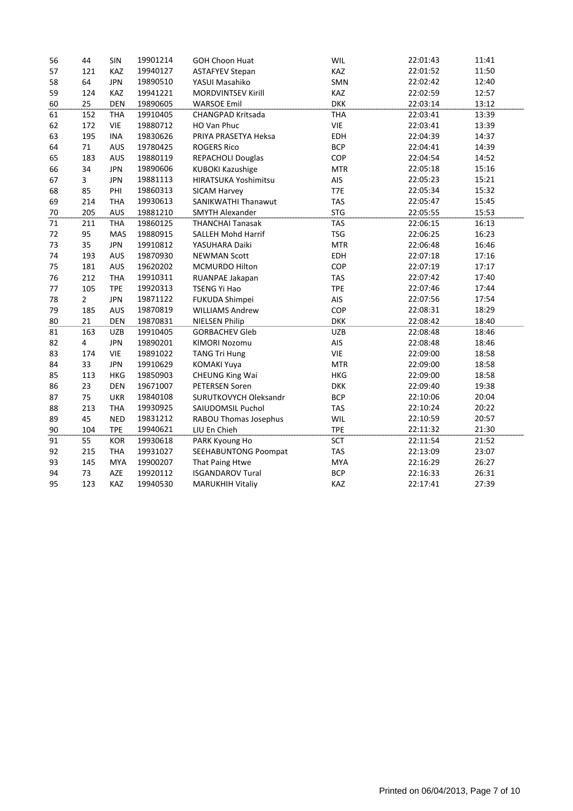| 56 | 44                      | SIN        | 19901214 | <b>GOH Choon Huat</b>     | WIL        | 22:01:43 | 11:41 |
|----|-------------------------|------------|----------|---------------------------|------------|----------|-------|
| 57 | 121                     | KAZ        | 19940127 | <b>ASTAFYEV Stepan</b>    | KAZ        | 22:01:52 | 11:50 |
| 58 | 64                      | <b>JPN</b> | 19890510 | YASUI Masahiko            | SMN        | 22:02:42 | 12:40 |
| 59 | 124                     | KAZ        | 19941221 | <b>MORDVINTSEV Kirill</b> | KAZ        | 22:02:59 | 12:57 |
| 60 | 25                      | <b>DEN</b> | 19890605 | <b>WARSOE Emil</b>        | <b>DKK</b> | 22:03:14 | 13:12 |
| 61 | 152                     | <b>THA</b> | 19910405 | CHANGPAD Kritsada         | <b>THA</b> | 22:03:41 | 13:39 |
| 62 | 172                     | <b>VIE</b> | 19880712 | HO Van Phuc               | VIE        | 22:03:41 | 13:39 |
| 63 | 195                     | <b>INA</b> | 19830626 | PRIYA PRASETYA Heksa      | EDH        | 22:04:39 | 14:37 |
| 64 | $71\,$                  | AUS        | 19780425 | <b>ROGERS Rico</b>        | <b>BCP</b> | 22:04:41 | 14:39 |
| 65 | 183                     | AUS        | 19880119 | <b>REPACHOLI Douglas</b>  | COP        | 22:04:54 | 14:52 |
| 66 | 34                      | <b>JPN</b> | 19890606 | <b>KUBOKI Kazushige</b>   | <b>MTR</b> | 22:05:18 | 15:16 |
| 67 | 3                       | <b>JPN</b> | 19881113 | HIRATSUKA Yoshimitsu      | AIS        | 22:05:23 | 15:21 |
| 68 | 85                      | PHI        | 19860313 | SICAM Harvey              | T7E        | 22:05:34 | 15:32 |
| 69 | 214                     | <b>THA</b> | 19930613 | SANIKWATHI Thanawut       | <b>TAS</b> | 22:05:47 | 15:45 |
| 70 | 205                     | <b>AUS</b> | 19881210 | <b>SMYTH Alexander</b>    | <b>STG</b> | 22:05:55 | 15:53 |
| 71 | 211                     | <b>THA</b> | 19860125 | <b>THANCHAI Tanasak</b>   | <b>TAS</b> | 22:06:15 | 16:13 |
| 72 | 95                      | <b>MAS</b> | 19880915 | <b>SALLEH Mohd Harrif</b> | <b>TSG</b> | 22:06:25 | 16:23 |
| 73 | 35                      | <b>JPN</b> | 19910812 | YASUHARA Daiki            | <b>MTR</b> | 22:06:48 | 16:46 |
| 74 | 193                     | <b>AUS</b> | 19870930 | <b>NEWMAN Scott</b>       | EDH        | 22:07:18 | 17:16 |
| 75 | 181                     | AUS        | 19620202 | MCMURDO Hilton            | COP        | 22:07:19 | 17:17 |
| 76 | 212                     | <b>THA</b> | 19910311 | RUANPAE Jakapan           | <b>TAS</b> | 22:07:42 | 17:40 |
| 77 | 105                     | <b>TPE</b> | 19920313 | TSENG Yi Hao              | <b>TPE</b> | 22:07:46 | 17:44 |
| 78 | $\overline{2}$          | <b>JPN</b> | 19871122 | FUKUDA Shimpei            | AIS        | 22:07:56 | 17:54 |
| 79 | 185                     | <b>AUS</b> | 19870819 | <b>WILLIAMS Andrew</b>    | COP        | 22:08:31 | 18:29 |
| 80 | 21                      | <b>DEN</b> | 19870831 | <b>NIELSEN Philip</b>     | <b>DKK</b> | 22:08:42 | 18:40 |
| 81 | 163                     | <b>UZB</b> | 19910405 | <b>GORBACHEV Gleb</b>     | <b>UZB</b> | 22:08:48 | 18:46 |
| 82 | $\overline{\mathbf{4}}$ | <b>JPN</b> | 19890201 | <b>KIMORI Nozomu</b>      | AIS        | 22:08:48 | 18:46 |
| 83 | 174                     | <b>VIE</b> | 19891022 | <b>TANG Tri Hung</b>      | <b>VIE</b> | 22:09:00 | 18:58 |
| 84 | 33                      | <b>JPN</b> | 19910629 | <b>KOMAKI Yuya</b>        | <b>MTR</b> | 22:09:00 | 18:58 |
| 85 | 113                     | <b>HKG</b> | 19850903 | <b>CHEUNG King Wai</b>    | <b>HKG</b> | 22:09:00 | 18:58 |
| 86 | 23                      | <b>DEN</b> | 19671007 | <b>PETERSEN Soren</b>     | <b>DKK</b> | 22:09:40 | 19:38 |
| 87 | 75                      | <b>UKR</b> | 19840108 | SURUTKOVYCH Oleksandr     | <b>BCP</b> | 22:10:06 | 20:04 |
| 88 | 213                     | <b>THA</b> | 19930925 | SAIUDOMSIL Puchol         | <b>TAS</b> | 22:10:24 | 20:22 |
| 89 | 45                      | <b>NED</b> | 19831212 | RABOU Thomas Josephus     | WIL        | 22:10:59 | 20:57 |
| 90 | 104                     | <b>TPE</b> | 19940621 | LIU En Chieh              | <b>TPE</b> | 22:11:32 | 21:30 |
| 91 | 55                      | <b>KOR</b> | 19930618 | PARK Kyoung Ho            | <b>SCT</b> | 22:11:54 | 21:52 |
| 92 | 215                     | <b>THA</b> | 19931027 | SEEHABUNTONG Poompat      | <b>TAS</b> | 22:13:09 | 23:07 |
| 93 | 145                     | <b>MYA</b> | 19900207 | That Paing Htwe           | <b>MYA</b> | 22:16:29 | 26:27 |
| 94 | 73                      | AZE        | 19920112 | <b>ISGANDAROV Tural</b>   | <b>BCP</b> | 22:16:33 | 26:31 |
| 95 | 123                     | <b>KAZ</b> | 19940530 | <b>MARUKHIH Vitaliy</b>   | KAZ        | 22:17:41 | 27:39 |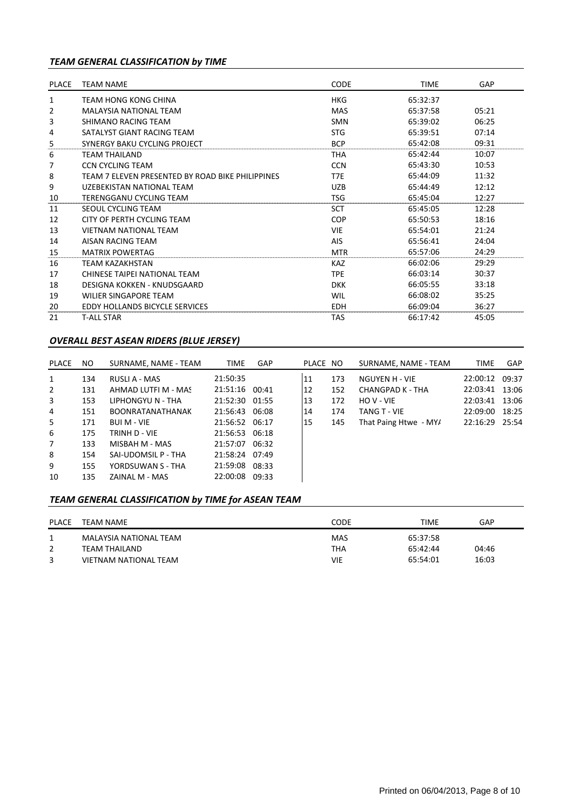## *TEAM GENERAL CLASSIFICATION by TIME*

| <b>PLACE</b> | <b>TEAM NAME</b>                                 | <b>CODE</b> | <b>TIME</b> | GAP   |
|--------------|--------------------------------------------------|-------------|-------------|-------|
| 1            | TEAM HONG KONG CHINA                             | HKG         | 65:32:37    |       |
| 2            | <b>MALAYSIA NATIONAL TEAM</b>                    | MAS         | 65:37:58    | 05:21 |
| 3            | SHIMANO RACING TEAM                              | <b>SMN</b>  | 65:39:02    | 06:25 |
| 4            | SATALYST GIANT RACING TEAM                       | <b>STG</b>  | 65:39:51    | 07:14 |
| 5            | SYNERGY BAKU CYCLING PROJECT                     | <b>BCP</b>  | 65:42:08    | 09:31 |
| 6            | TEAM THAILAND                                    | THA         | 65:42:44    | 10:07 |
| 7            | <b>CCN CYCLING TEAM</b>                          | <b>CCN</b>  | 65:43:30    | 10:53 |
| 8            | TEAM 7 ELEVEN PRESENTED BY ROAD BIKE PHILIPPINES | T7E         | 65:44:09    | 11:32 |
| 9            | UZEBEKISTAN NATIONAL TEAM                        | <b>UZB</b>  | 65:44:49    | 12:12 |
| 10           | TERENGGANU CYCLING TEAM                          | <b>TSG</b>  | 65:45:04    | 12:27 |
| 11           | SEOUL CYCLING TEAM                               | SCT         | 65:45:05    | 12:28 |
| 12           | CITY OF PERTH CYCLING TEAM                       | <b>COP</b>  | 65:50:53    | 18:16 |
| 13           | <b>VIETNAM NATIONAL TEAM</b>                     | <b>VIE</b>  | 65:54:01    | 21:24 |
| 14           | AISAN RACING TEAM                                | AIS         | 65:56:41    | 24:04 |
| 15           | <b>MATRIX POWERTAG</b>                           | <b>MTR</b>  | 65:57:06    | 24:29 |
| 16           | <b>TEAM KAZAKHSTAN</b>                           | <b>KAZ</b>  | 66:02:06    | 29:29 |
| 17           | CHINESE TAIPEI NATIONAL TEAM                     | <b>TPE</b>  | 66:03:14    | 30:37 |
| 18           | DESIGNA KOKKEN - KNUDSGAARD                      | <b>DKK</b>  | 66:05:55    | 33:18 |
| 19           | WILIER SINGAPORE TEAM                            | WIL         | 66:08:02    | 35:25 |
| 20           | <b>EDDY HOLLANDS BICYCLE SERVICES</b>            | <b>EDH</b>  | 66:09:04    | 36:27 |
| 21           | <b>T-ALL STAR</b>                                | TAS         | 66:17:42    | 45:05 |

#### *OVERALL BEST ASEAN RIDERS (BLUE JERSEY)*

| PLACE          | NO. | SURNAME, NAME - TEAM    | <b>TIME</b>    | <b>GAP</b> | PLACE NO |     | SURNAME, NAME - TEAM  | <b>TIME</b>    | GAP   |
|----------------|-----|-------------------------|----------------|------------|----------|-----|-----------------------|----------------|-------|
| $\mathbf{1}$   | 134 | RUSLI A - MAS           | 21:50:35       |            | 11       | 173 | NGUYEN H - VIE        | 22:00:12 09:37 |       |
| $\overline{2}$ | 131 | AHMAD LUTFI M - MAS     | 21:51:16       | 00:41      | 12       | 152 | CHANGPAD K - THA      | 22:03:41 13:06 |       |
| 3              | 153 | LIPHONGYU N - THA       | 21:52:30 01:55 |            | 13       | 172 | HOV-VIE               | 22:03:41       | 13:06 |
| 4              | 151 | <b>BOONRATANATHANAK</b> | 21:56:43 06:08 |            | 14       | 174 | TANG T - VIE          | 22:09:00 18:25 |       |
| 5              | 171 | <b>BUI M - VIE</b>      | 21:56:52 06:17 |            | 15       | 145 | That Paing Htwe - MY/ | 22:16:29 25:54 |       |
| 6              | 175 | TRINH D - VIE           | 21:56:53 06:18 |            |          |     |                       |                |       |
| $\overline{7}$ | 133 | MISBAH M - MAS          | 21:57:07 06:32 |            |          |     |                       |                |       |
| 8              | 154 | SAI-UDOMSIL P - THA     | 21:58:24       | 07:49      |          |     |                       |                |       |
| 9              | 155 | YORDSUWAN S - THA       | 21:59:08       | 08:33      |          |     |                       |                |       |
| 10             | 135 | ZAINAL M - MAS          | 22:00:08       | 09:33      |          |     |                       |                |       |

## *TEAM GENERAL CLASSIFICATION by TIME for ASEAN TEAM*

| <b>PLACE</b> | TEAM NAME              | CODE       | TIME     | GAP   |
|--------------|------------------------|------------|----------|-------|
|              | MALAYSIA NATIONAL TEAM | <b>MAS</b> | 65:37:58 |       |
|              | TEAM THAILAND          | <b>THA</b> | 65:42:44 | 04:46 |
|              | VIETNAM NATIONAL TEAM  | VIE        | 65:54:01 | 16:03 |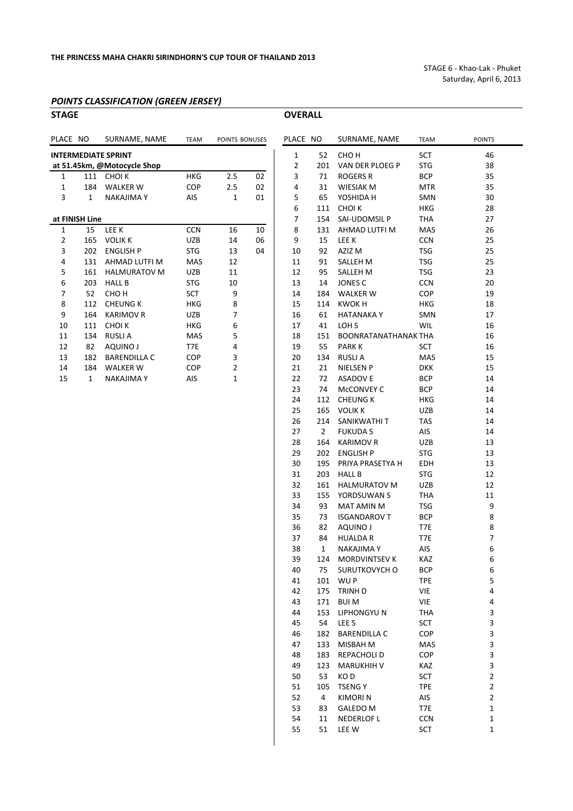**OVERALL** 

STAGE 6 ‐ Khao‐Lak ‐ Phuket Saturday, April 6, 2013

#### *POINTS CLASSIFICATION (GREEN JERSEY)*

| <b>STAGE</b> |                |                                                           |                 |              |  |  |  |  |  |  |  |  |
|--------------|----------------|-----------------------------------------------------------|-----------------|--------------|--|--|--|--|--|--|--|--|
| PLACE NO     |                | SURNAME, NAME                                             | <b>TEAM</b>     | POINTS BONU  |  |  |  |  |  |  |  |  |
|              |                | <b>INTERMEDIATE SPRINT</b><br>at 51.45km, @Motocycle Shop |                 |              |  |  |  |  |  |  |  |  |
| 1            |                | 111 CHOIK                                                 | <b>HKG</b>      | 2.5          |  |  |  |  |  |  |  |  |
| 1            |                | 184 WALKER W                                              | COP             | 2.5          |  |  |  |  |  |  |  |  |
| 3            | 1              | <b>NAKAJIMA Y</b>                                         | AIS             | 1            |  |  |  |  |  |  |  |  |
|              |                |                                                           |                 |              |  |  |  |  |  |  |  |  |
|              | at FINISH Line |                                                           |                 |              |  |  |  |  |  |  |  |  |
| 1            | 15             | LEE K                                                     | <b>CCN</b>      | 16           |  |  |  |  |  |  |  |  |
| 2            | 165            | <b>VOLIK K</b>                                            | <b>UZB</b>      | 14           |  |  |  |  |  |  |  |  |
| 3            | 202            | <b>ENGLISH P</b>                                          | <b>STG</b>      | 13           |  |  |  |  |  |  |  |  |
| 4            | 131            | AHMAD LUTFI M                                             | MAS             | 12           |  |  |  |  |  |  |  |  |
| 5            |                | 161 HALMURATOV M                                          | <b>UZB</b>      | 11           |  |  |  |  |  |  |  |  |
| 6            | 203            | <b>HALL B</b>                                             | <b>STG</b>      | 10           |  |  |  |  |  |  |  |  |
| 7            | 52             | CHO H                                                     | <b>SCT</b>      | 9            |  |  |  |  |  |  |  |  |
| 8            | 112            | <b>CHEUNG K</b>                                           | <b>HKG</b>      | 8            |  |  |  |  |  |  |  |  |
| 9            | 164            | <b>KARIMOV R</b>                                          | <b>UZB</b>      | 7            |  |  |  |  |  |  |  |  |
| 10           | 111            | <b>CHOIK</b>                                              | <b>HKG</b>      | 6            |  |  |  |  |  |  |  |  |
| 11           | 134            | <b>RUSLIA</b>                                             | <b>MAS</b>      | 5            |  |  |  |  |  |  |  |  |
| 12           | 82             | <b>AQUINO J</b>                                           | T <sub>7E</sub> | 4            |  |  |  |  |  |  |  |  |
| 13           | 182            | <b>BARENDILLA C</b>                                       | <b>COP</b>      | 3            |  |  |  |  |  |  |  |  |
| 14           | 184            | <b>WALKER W</b>                                           | <b>COP</b>      | 2            |  |  |  |  |  |  |  |  |
| 15           | $\mathbf{1}$   | <b>NAKAJIMA Y</b>                                         | AIS             | $\mathbf{1}$ |  |  |  |  |  |  |  |  |
|              |                |                                                           |                 |              |  |  |  |  |  |  |  |  |

| PLACE NO       |          | SURNAME, NAME                       | <b>TEAM</b> | POINTS BONUSES      |          | PLACE NO     |                | SURNAME, NAME                 | <b>TEAM</b>              | <b>POINTS</b> |
|----------------|----------|-------------------------------------|-------------|---------------------|----------|--------------|----------------|-------------------------------|--------------------------|---------------|
|                |          |                                     |             |                     |          |              |                |                               |                          |               |
|                |          | <b>INTERMEDIATE SPRINT</b>          |             |                     |          | $\mathbf{1}$ | 52             | CHO <sub>H</sub>              | SCT                      | 46            |
|                |          | at 51.45km, @Motocycle Shop         |             |                     |          | 2            | 201            | VAN DER PLOEG P               | <b>STG</b>               | 38            |
| 1              | 111      | CHOI K                              | <b>HKG</b>  | 2.5                 | 02       | 3            | 71             | <b>ROGERS R</b>               | <b>BCP</b>               | 35            |
| 1<br>3         | 184<br>1 | <b>WALKER W</b><br><b>NAKAJIMAY</b> | COP         | 2.5<br>$\mathbf{1}$ | 02<br>01 | 4            | 31<br>65       | <b>WIESIAK M</b><br>YOSHIDA H | <b>MTR</b><br>SMN        | 35<br>30      |
|                |          |                                     | AIS         |                     |          | 5<br>6       | 111            | <b>CHOIK</b>                  | <b>HKG</b>               | 28            |
| at FINISH Line |          |                                     |             |                     |          | 7            | 154            | SAI-UDOMSIL P                 | <b>THA</b>               | 27            |
| 1              | 15       | LEE K                               | <b>CCN</b>  | 16                  | 10       | 8            | 131            | AHMAD LUTFI M                 | MAS                      | 26            |
| 2              | 165      | <b>VOLIK K</b>                      | <b>UZB</b>  | 14                  | 06       | 9            | 15             | <b>LEE K</b>                  | <b>CCN</b>               | 25            |
| 3              | 202      | <b>ENGLISH P</b>                    | <b>STG</b>  | 13                  | 04       | 10           | 92             | AZIZ M                        | <b>TSG</b>               | 25            |
| 4              | 131      | AHMAD LUTFI M                       | MAS         | 12                  |          | 11           | 91             | <b>SALLEH M</b>               | <b>TSG</b>               | 25            |
| 5              | 161      | <b>HALMURATOV M</b>                 | <b>UZB</b>  | 11                  |          | 12           | 95             | SALLEH M                      | <b>TSG</b>               | 23            |
| 6              | 203      | <b>HALL B</b>                       | <b>STG</b>  | $10\,$              |          | 13           | 14             | JONES C                       | <b>CCN</b>               | 20            |
| 7              | 52       | CHO <sub>H</sub>                    | SCT         | 9                   |          | 14           | 184            | <b>WALKER W</b>               | COP                      | 19            |
| 8              | 112      | <b>CHEUNG K</b>                     | <b>HKG</b>  | 8                   |          | 15           | 114            | <b>KWOKH</b>                  | <b>HKG</b>               | 18            |
| 9              | 164      | <b>KARIMOV R</b>                    | UZB         | 7                   |          | 16           | 61             | <b>HATANAKAY</b>              | SMN                      | 17            |
| 10             | 111      | <b>CHOIK</b>                        | <b>HKG</b>  | 6                   |          | 17           | 41             | LOH <sub>S</sub>              | WIL                      | 16            |
| 11             | 134      | <b>RUSLIA</b>                       | MAS         | 5                   |          | 18           | 151            | <b>BOONRATANATHANAK THA</b>   |                          | 16            |
| 12             | 82       | AQUINO J                            | T7E         | 4                   |          | 19           | 55             | <b>PARKK</b>                  | <b>SCT</b>               | 16            |
| 13             | 182      | <b>BARENDILLA C</b>                 | COP         | 3                   |          | 20           | 134            | <b>RUSLIA</b>                 | MAS                      | 15            |
| 14             | 184      | <b>WALKER W</b>                     | COP         | 2                   |          | 21           | 21             | <b>NIELSEN P</b>              | <b>DKK</b>               | 15            |
| 15             | 1        | <b>NAKAJIMAY</b>                    | AIS         | 1                   |          | 22           | 72             | <b>ASADOVE</b>                | <b>BCP</b>               | 14            |
|                |          |                                     |             |                     |          | 23           | 74             | McCONVEY C                    | <b>BCP</b>               | 14            |
|                |          |                                     |             |                     |          | 24           |                | 112 CHEUNG K                  | <b>HKG</b>               | 14            |
|                |          |                                     |             |                     |          | 25           |                | 165 VOLIK K                   | <b>UZB</b>               | 14            |
|                |          |                                     |             |                     |          | 26           | 214            | SANIKWATHI T                  | <b>TAS</b>               | 14            |
|                |          |                                     |             |                     |          | 27           | $\overline{2}$ | <b>FUKUDAS</b>                | AIS                      | 14            |
|                |          |                                     |             |                     |          | 28           | 164            | <b>KARIMOV R</b>              | <b>UZB</b>               | 13            |
|                |          |                                     |             |                     |          | 29           | 202            | <b>ENGLISH P</b>              | <b>STG</b>               | 13            |
|                |          |                                     |             |                     |          | 30           | 195            | PRIYA PRASETYA H              | EDH                      | 13            |
|                |          |                                     |             |                     |          | 31           | 203            | <b>HALL B</b>                 | <b>STG</b>               | 12            |
|                |          |                                     |             |                     |          | 32           | 161            | <b>HALMURATOV M</b>           | <b>UZB</b>               | 12            |
|                |          |                                     |             |                     |          | 33           | 155            | YORDSUWAN S                   | <b>THA</b>               | 11            |
|                |          |                                     |             |                     |          | 34           | 93             | <b>MAT AMIN M</b>             | <b>TSG</b>               | 9             |
|                |          |                                     |             |                     |          | 35           | 73             | <b>ISGANDAROV T</b>           | <b>BCP</b>               | 8             |
|                |          |                                     |             |                     |          | 36           | 82             | AQUINO J                      | T7E                      | 8             |
|                |          |                                     |             |                     |          | 37           | 84             | <b>HUALDAR</b>                | T7E                      | 7             |
|                |          |                                     |             |                     |          | 38           | 1              | <b>NAKAJIMA Y</b>             | AIS                      | 6             |
|                |          |                                     |             |                     |          | 39           | 124            | <b>MORDVINTSEV K</b>          | KAZ                      | 6             |
|                |          |                                     |             |                     |          | 40           | 75             | SURUTKOVYCH O<br>101 WUP      | <b>BCP</b><br><b>TPE</b> | 6<br>5        |
|                |          |                                     |             |                     |          | 41<br>42     |                | 175 TRINH D                   | VIE                      | 4             |
|                |          |                                     |             |                     |          | 43           | 171            | <b>BUIM</b>                   | VIE                      | 4             |
|                |          |                                     |             |                     |          | 44           | 153            | LIPHONGYU N                   | <b>THA</b>               | 3             |
|                |          |                                     |             |                     |          | 45           | 54             | LEE <sub>S</sub>              | SCT                      | 3             |
|                |          |                                     |             |                     |          | 46           | 182            | <b>BARENDILLA C</b>           | COP                      | 3             |
|                |          |                                     |             |                     |          | 47           | 133            | MISBAH M                      | MAS                      | 3             |
|                |          |                                     |             |                     |          | 48           | 183            | REPACHOLI D                   | COP                      | 3             |
|                |          |                                     |             |                     |          | 49           | 123            | <b>MARUKHIH V</b>             | KAZ                      | 3             |
|                |          |                                     |             |                     |          | 50           | 53             | KO <sub>D</sub>               | <b>SCT</b>               | 2             |
|                |          |                                     |             |                     |          | 51           | 105            | <b>TSENGY</b>                 | <b>TPE</b>               | 2             |
|                |          |                                     |             |                     |          | 52           | 4              | <b>KIMORIN</b>                | AIS                      | 2             |
|                |          |                                     |             |                     |          | 53           | 83             | GALEDO M                      | T7E                      | 1             |
|                |          |                                     |             |                     |          | 54           | 11             | <b>NEDERLOF L</b>             | CCN                      | 1             |
|                |          |                                     |             |                     |          | 55           | 51             | LEE W                         | SCT                      | 1             |
|                |          |                                     |             |                     |          |              |                |                               |                          |               |